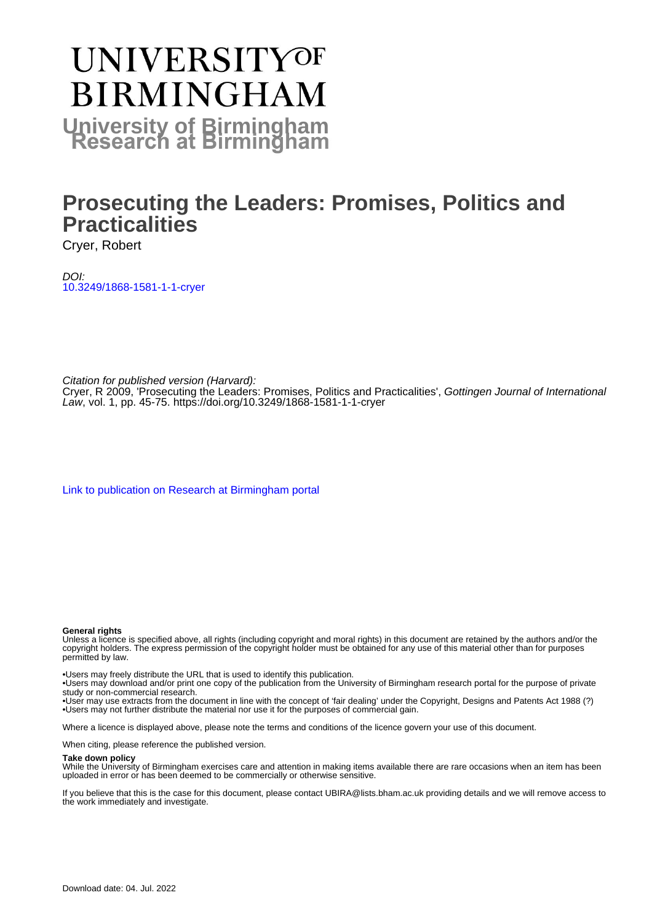# **UNIVERSITYOF BIRMINGHAM University of Birmingham**

# **Prosecuting the Leaders: Promises, Politics and Practicalities**

Cryer, Robert

DOI: [10.3249/1868-1581-1-1-cryer](https://doi.org/10.3249/1868-1581-1-1-cryer)

Citation for published version (Harvard):

Cryer, R 2009, 'Prosecuting the Leaders: Promises, Politics and Practicalities', Gottingen Journal of International Law, vol. 1, pp. 45-75.<https://doi.org/10.3249/1868-1581-1-1-cryer>

[Link to publication on Research at Birmingham portal](https://birmingham.elsevierpure.com/en/publications/701d10c7-b45e-461e-b4af-3115bd91b065)

#### **General rights**

Unless a licence is specified above, all rights (including copyright and moral rights) in this document are retained by the authors and/or the copyright holders. The express permission of the copyright holder must be obtained for any use of this material other than for purposes permitted by law.

• Users may freely distribute the URL that is used to identify this publication.

• Users may download and/or print one copy of the publication from the University of Birmingham research portal for the purpose of private study or non-commercial research.

• User may use extracts from the document in line with the concept of 'fair dealing' under the Copyright, Designs and Patents Act 1988 (?) • Users may not further distribute the material nor use it for the purposes of commercial gain.

Where a licence is displayed above, please note the terms and conditions of the licence govern your use of this document.

When citing, please reference the published version.

#### **Take down policy**

While the University of Birmingham exercises care and attention in making items available there are rare occasions when an item has been uploaded in error or has been deemed to be commercially or otherwise sensitive.

If you believe that this is the case for this document, please contact UBIRA@lists.bham.ac.uk providing details and we will remove access to the work immediately and investigate.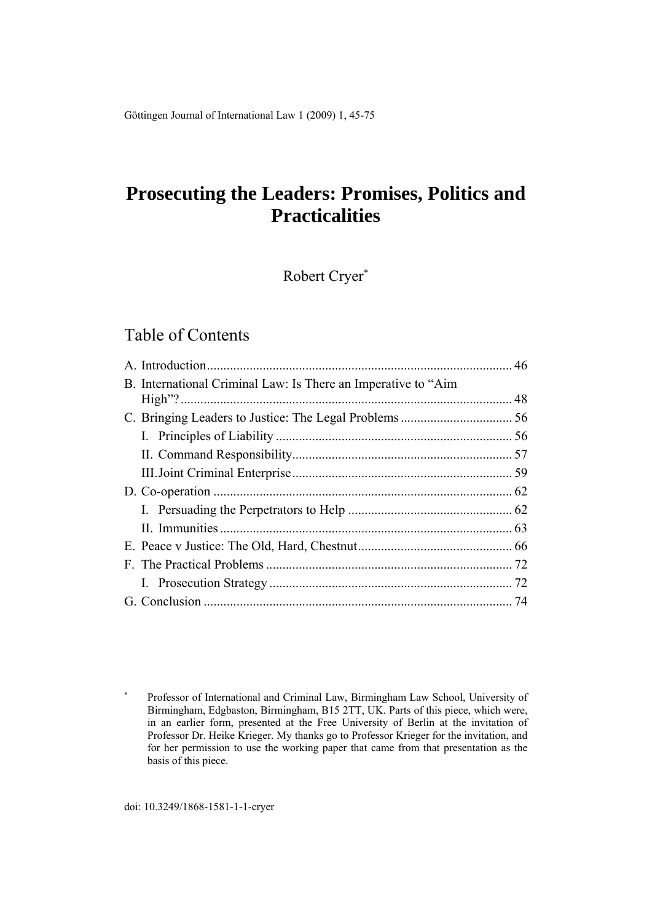Göttingen Journal of International Law 1 (2009) 1, 45-75

# **Prosecuting the Leaders: Promises, Politics and Practicalities**

Robert Cryer

# Table of Contents

|  | B. International Criminal Law: Is There an Imperative to "Aim |  |
|--|---------------------------------------------------------------|--|
|  |                                                               |  |
|  |                                                               |  |
|  |                                                               |  |
|  |                                                               |  |
|  |                                                               |  |
|  |                                                               |  |
|  |                                                               |  |
|  |                                                               |  |
|  |                                                               |  |
|  |                                                               |  |
|  |                                                               |  |
|  |                                                               |  |

<sup>×</sup>  Professor of International and Criminal Law, Birmingham Law School, University of Birmingham, Edgbaston, Birmingham, B15 2TT, UK. Parts of this piece, which were, in an earlier form, presented at the Free University of Berlin at the invitation of Professor Dr. Heike Krieger. My thanks go to Professor Krieger for the invitation, and for her permission to use the working paper that came from that presentation as the basis of this piece.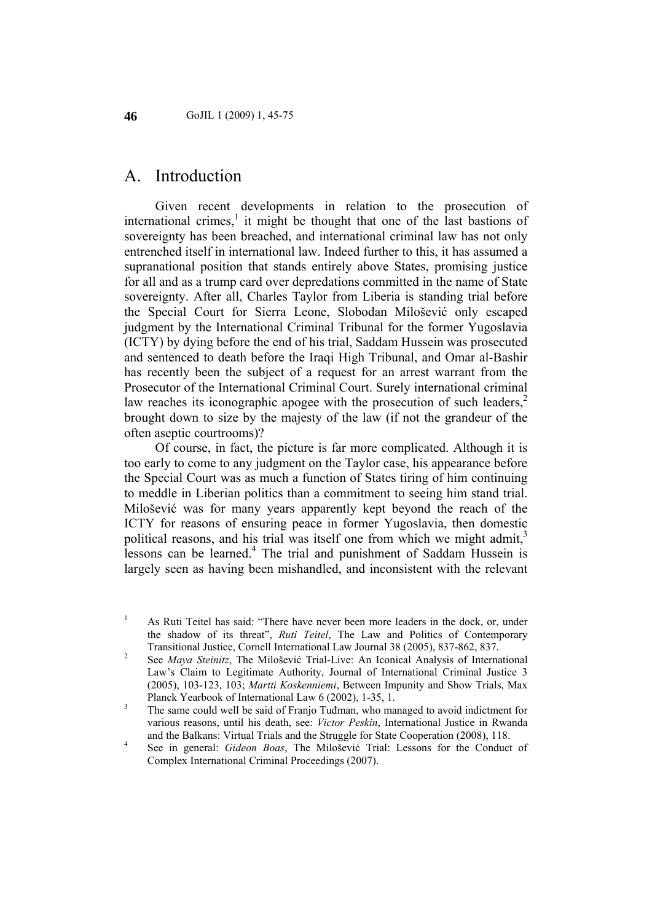### A. Introduction

Given recent developments in relation to the prosecution of international crimes,<sup>1</sup> it might be thought that one of the last bastions of sovereignty has been breached, and international criminal law has not only entrenched itself in international law. Indeed further to this, it has assumed a supranational position that stands entirely above States, promising justice for all and as a trump card over depredations committed in the name of State sovereignty. After all, Charles Taylor from Liberia is standing trial before the Special Court for Sierra Leone, Slobodan Milošević only escaped judgment by the International Criminal Tribunal for the former Yugoslavia (ICTY) by dying before the end of his trial, Saddam Hussein was prosecuted and sentenced to death before the Iraqi High Tribunal, and Omar al-Bashir has recently been the subject of a request for an arrest warrant from the Prosecutor of the International Criminal Court. Surely international criminal law reaches its iconographic apogee with the prosecution of such leaders.<sup>2</sup> brought down to size by the majesty of the law (if not the grandeur of the often aseptic courtrooms)?

Of course, in fact, the picture is far more complicated. Although it is too early to come to any judgment on the Taylor case, his appearance before the Special Court was as much a function of States tiring of him continuing to meddle in Liberian politics than a commitment to seeing him stand trial. Milošević was for many years apparently kept beyond the reach of the ICTY for reasons of ensuring peace in former Yugoslavia, then domestic political reasons, and his trial was itself one from which we might admit, $3$ lessons can be learned.<sup>4</sup> The trial and punishment of Saddam Hussein is largely seen as having been mishandled, and inconsistent with the relevant

<sup>1</sup> As Ruti Teitel has said: "There have never been more leaders in the dock, or, under the shadow of its threat", *Ruti Teitel*, The Law and Politics of Contemporary Transitional Justice, Cornell International Law Journal 38 (2005), 837-862, 837. 2

See *Maya Steinitz*, The Milošević Trial-Live: An Iconical Analysis of International Law's Claim to Legitimate Authority, Journal of International Criminal Justice 3 (2005), 103-123, 103; *Martti Koskenniemi*, Between Impunity and Show Trials, Max Planck Yearbook of International Law  $6(2002)$ , 1-35, 1.

The same could well be said of Franjo Tuđman, who managed to avoid indictment for various reasons, until his death, see: *Victor Peskin*, International Justice in Rwanda and the Balkans: Virtual Trials and the Struggle for State Cooperation (2008), 118.

See in general: *Gideon Boas*, The Milošević Trial: Lessons for the Conduct of Complex International Criminal Proceedings (2007).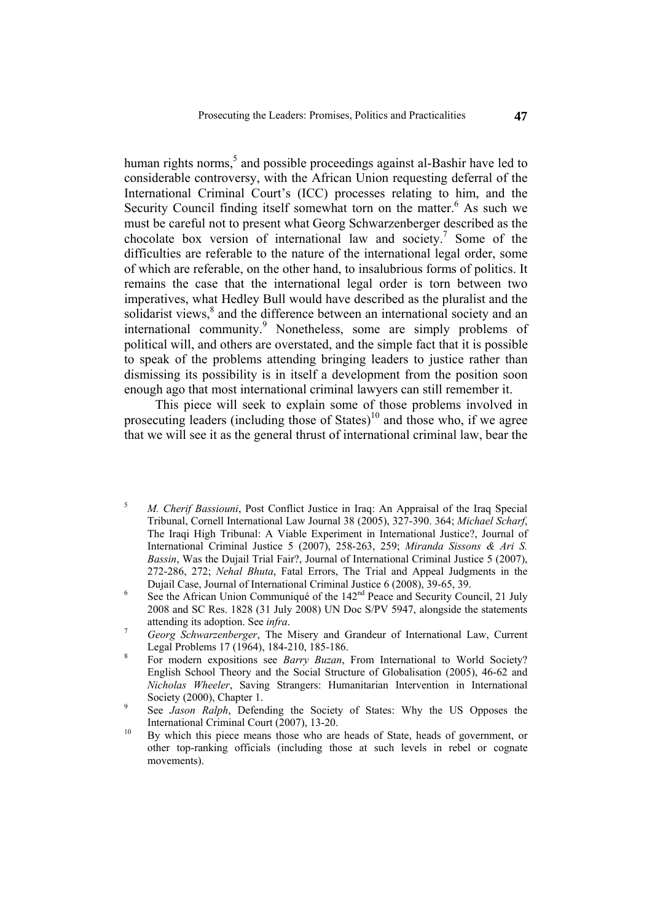human rights norms,<sup>5</sup> and possible proceedings against al-Bashir have led to considerable controversy, with the African Union requesting deferral of the International Criminal Court's (ICC) processes relating to him, and the Security Council finding itself somewhat torn on the matter.<sup>6</sup> As such we must be careful not to present what Georg Schwarzenberger described as the chocolate box version of international law and society.<sup>7</sup> Some of the difficulties are referable to the nature of the international legal order, some of which are referable, on the other hand, to insalubrious forms of politics. It remains the case that the international legal order is torn between two imperatives, what Hedley Bull would have described as the pluralist and the solidarist views,<sup>8</sup> and the difference between an international society and an international community.<sup>9</sup> Nonetheless, some are simply problems of political will, and others are overstated, and the simple fact that it is possible to speak of the problems attending bringing leaders to justice rather than dismissing its possibility is in itself a development from the position soon enough ago that most international criminal lawyers can still remember it.

This piece will seek to explain some of those problems involved in prosecuting leaders (including those of States)<sup>10</sup> and those who, if we agree that we will see it as the general thrust of international criminal law, bear the

- 5 *M. Cherif Bassiouni*, Post Conflict Justice in Iraq: An Appraisal of the Iraq Special Tribunal, Cornell International Law Journal 38 (2005), 327-390. 364; *Michael Scharf*, The Iraqi High Tribunal: A Viable Experiment in International Justice?, Journal of International Criminal Justice 5 (2007), 258-263, 259; *Miranda Sissons & Ari S. Bassin*, Was the Dujail Trial Fair?, Journal of International Criminal Justice 5 (2007), 272-286, 272; *Nehal Bhuta*, Fatal Errors, The Trial and Appeal Judgments in the
- Dujail Case, Journal of International Criminal Justice 6 (2008), 39-65, 39.<br>
See the African Union Communiqué of the 142<sup>nd</sup> Peace and Security Council, 21 July 2008 and SC Res. 1828 (31 July 2008) UN Doc S/PV 5947, alongside the statements attending its adoption. See *infra*. <sup>7</sup>
- *Georg Schwarzenberger*, The Misery and Grandeur of International Law, Current Legal Problems 17 (1964), 184-210, 185-186.
- For modern expositions see *Barry Buzan*, From International to World Society? English School Theory and the Social Structure of Globalisation (2005), 46-62 and *Nicholas Wheeler*, Saving Strangers: Humanitarian Intervention in International Society  $(2000)$ , Chapter 1.
- See *Jason Ralph*, Defending the Society of States: Why the US Opposes the
- International Criminal Court (2007), 13-20.<br>By which this piece means those who are heads of State, heads of government, or other top-ranking officials (including those at such levels in rebel or cognate movements).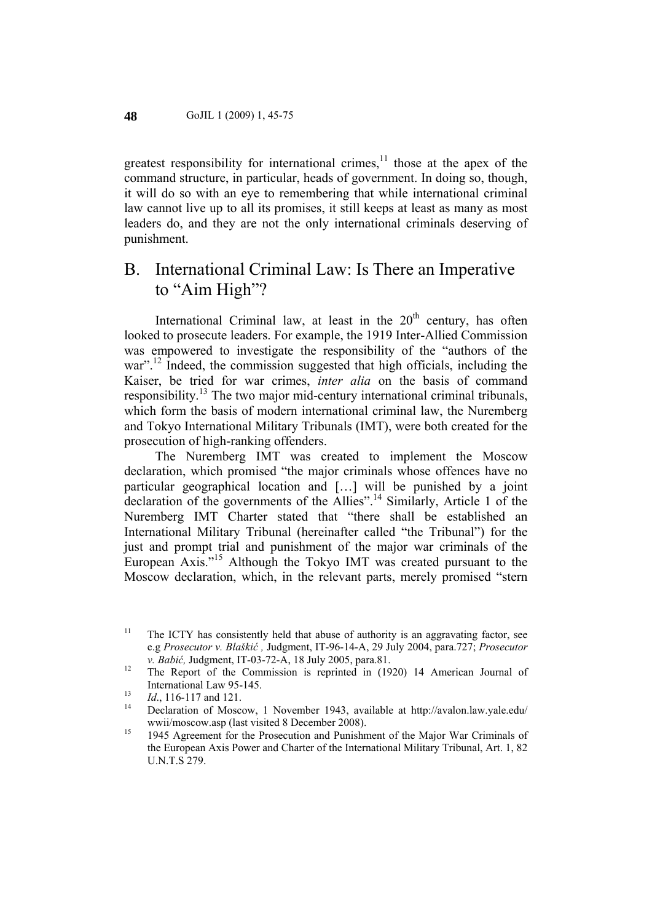greatest responsibility for international crimes, $\frac{11}{11}$  those at the apex of the command structure, in particular, heads of government. In doing so, though, it will do so with an eye to remembering that while international criminal law cannot live up to all its promises, it still keeps at least as many as most leaders do, and they are not the only international criminals deserving of punishment.

# B. International Criminal Law: Is There an Imperative to "Aim High"?

International Criminal law, at least in the  $20<sup>th</sup>$  century, has often looked to prosecute leaders. For example, the 1919 Inter-Allied Commission was empowered to investigate the responsibility of the "authors of the war"<sup>12</sup> Indeed, the commission suggested that high officials, including the Kaiser, be tried for war crimes, *inter alia* on the basis of command responsibility.<sup>13</sup> The two major mid-century international criminal tribunals, which form the basis of modern international criminal law, the Nuremberg and Tokyo International Military Tribunals (IMT), were both created for the prosecution of high-ranking offenders.

The Nuremberg IMT was created to implement the Moscow declaration, which promised "the major criminals whose offences have no particular geographical location and […] will be punished by a joint declaration of the governments of the Allies".<sup>14</sup> Similarly, Article 1 of the Nuremberg IMT Charter stated that "there shall be established an International Military Tribunal (hereinafter called "the Tribunal") for the just and prompt trial and punishment of the major war criminals of the European Axis."15 Although the Tokyo IMT was created pursuant to the Moscow declaration, which, in the relevant parts, merely promised "stern

<sup>&</sup>lt;sup>11</sup> The ICTY has consistently held that abuse of authority is an aggravating factor, see e.g *Prosecutor v. Blaškić ,* Judgment, IT-96-14-A, 29 July 2004, para.727; *Prosecutor* 

*v. Babić*, Judgment, IT-03-72-A, 18 July 2005, para.81.<br><sup>12</sup> The Report of the Commission is reprinted in (1920) 14 American Journal of International Law 95-145.<br>
13 *Id.*, 116-117 and 121.<br>
14 Declaration of Moscow, 1 November 1943, available at http://avalon.law.yale.edu/

wwii/moscow.asp (last visited 8 December 2008).<br><sup>15</sup> 1945 Agreement for the Prosecution and Punishment of the Major War Criminals of the European Axis Power and Charter of the International Military Tribunal, Art. 1, 82 U.N.T.S 279.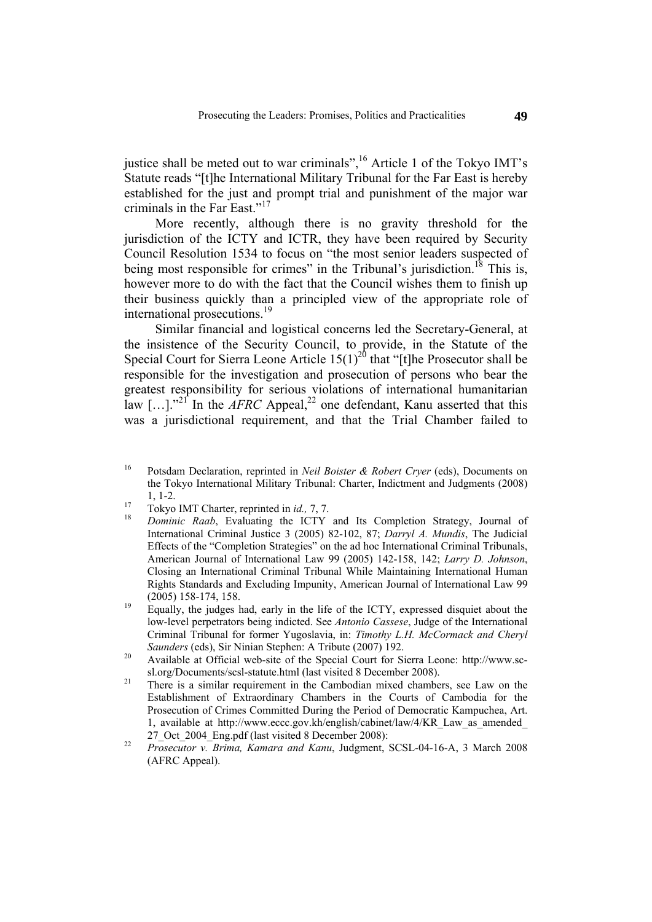justice shall be meted out to war criminals",<sup>16</sup> Article 1 of the Tokyo IMT's Statute reads "[t]he International Military Tribunal for the Far East is hereby established for the just and prompt trial and punishment of the major war criminals in the Far East."<sup>17</sup>

More recently, although there is no gravity threshold for the jurisdiction of the ICTY and ICTR, they have been required by Security Council Resolution 1534 to focus on "the most senior leaders suspected of being most responsible for crimes" in the Tribunal's jurisdiction.<sup>18</sup> This is, however more to do with the fact that the Council wishes them to finish up their business quickly than a principled view of the appropriate role of international prosecutions.<sup>19</sup>

Similar financial and logistical concerns led the Secretary-General, at the insistence of the Security Council, to provide, in the Statute of the Special Court for Sierra Leone Article  $15(1)^{20}$  that "[t]he Prosecutor shall be responsible for the investigation and prosecution of persons who bear the greatest responsibility for serious violations of international humanitarian law [...].<sup>"21</sup> In the *AFRC* Appeal,<sup>22</sup> one defendant, Kanu asserted that this was a jurisdictional requirement, and that the Trial Chamber failed to

- International Criminal Justice 3 (2005) 82-102, 87; *Darryl A. Mundis*, The Judicial Effects of the "Completion Strategies" on the ad hoc International Criminal Tribunals, American Journal of International Law 99 (2005) 142-158, 142; *Larry D. Johnson*, Closing an International Criminal Tribunal While Maintaining International Human Rights Standards and Excluding Impunity, American Journal of International Law 99 (2005) 158-174, 158.<br><sup>19</sup> Equally, the judges had, early in the life of the ICTY, expressed disquiet about the
- low-level perpetrators being indicted. See *Antonio Cassese*, Judge of the International Criminal Tribunal for former Yugoslavia, in: *Timothy L.H. McCormack and Cheryl*
- *Saunders* (eds), Sir Ninian Stephen: A Tribute (2007) 192.<br><sup>20</sup> Available at Official web-site of the Special Court for Sierra Leone: http://www.sc-
- sl.org/Documents/scsl-statute.html (last visited 8 December 2008). 21 There is a similar requirement in the Cambodian mixed chambers, see Law on the Establishment of Extraordinary Chambers in the Courts of Cambodia for the Prosecution of Crimes Committed During the Period of Democratic Kampuchea, Art. 1, available at http://www.eccc.gov.kh/english/cabinet/law/4/KR\_Law\_as\_amended\_ 27\_Oct\_2004\_Eng.pdf (last visited 8 December 2008): <sup>22</sup>*Prosecutor v. Brima, Kamara and Kanu*, Judgment, SCSL-04-16-A, 3 March 2008
- (AFRC Appeal).

<sup>16</sup> Potsdam Declaration, reprinted in *Neil Boister & Robert Cryer* (eds), Documents on the Tokyo International Military Tribunal: Charter, Indictment and Judgments (2008) 1, 1-2. 17 Tokyo IMT Charter, reprinted in *id.,* 7, 7. 18 *Dominic Raab*, Evaluating the ICTY and Its Completion Strategy, Journal of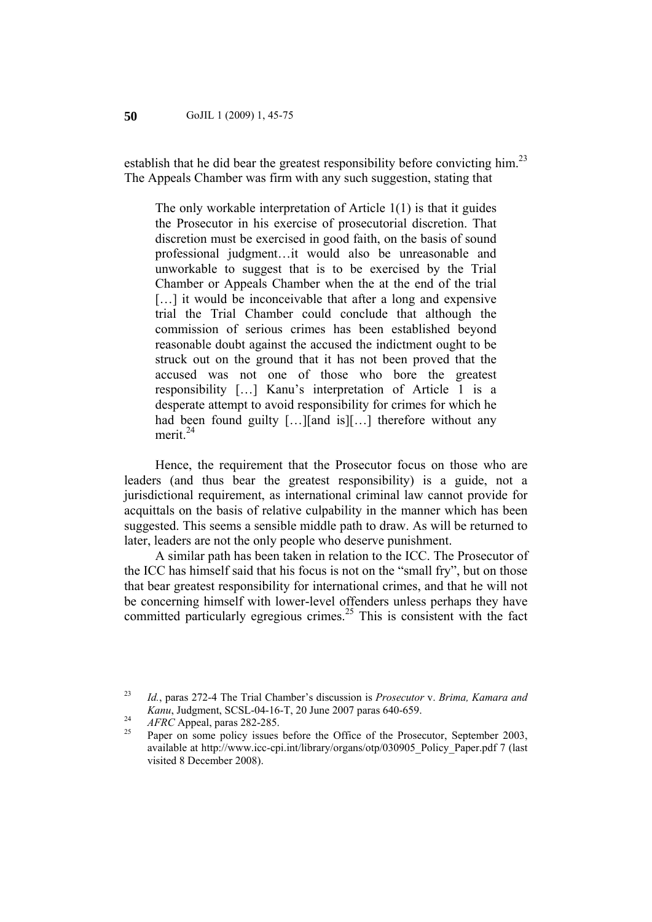establish that he did bear the greatest responsibility before convicting him.<sup>23</sup> The Appeals Chamber was firm with any such suggestion, stating that

The only workable interpretation of Article 1(1) is that it guides the Prosecutor in his exercise of prosecutorial discretion. That discretion must be exercised in good faith, on the basis of sound professional judgment…it would also be unreasonable and unworkable to suggest that is to be exercised by the Trial Chamber or Appeals Chamber when the at the end of the trial [...] it would be inconceivable that after a long and expensive trial the Trial Chamber could conclude that although the commission of serious crimes has been established beyond reasonable doubt against the accused the indictment ought to be struck out on the ground that it has not been proved that the accused was not one of those who bore the greatest responsibility […] Kanu's interpretation of Article 1 is a desperate attempt to avoid responsibility for crimes for which he had been found guilty [...][and is][...] therefore without any merit $^{24}$ 

Hence, the requirement that the Prosecutor focus on those who are leaders (and thus bear the greatest responsibility) is a guide, not a jurisdictional requirement, as international criminal law cannot provide for acquittals on the basis of relative culpability in the manner which has been suggested. This seems a sensible middle path to draw. As will be returned to later, leaders are not the only people who deserve punishment.

A similar path has been taken in relation to the ICC. The Prosecutor of the ICC has himself said that his focus is not on the "small fry", but on those that bear greatest responsibility for international crimes, and that he will not be concerning himself with lower-level offenders unless perhaps they have committed particularly egregious crimes.<sup>25</sup> This is consistent with the fact

<sup>23</sup> *Id.*, paras 272-4 The Trial Chamber's discussion is *Prosecutor* v. *Brima, Kamara and Kanu*, Judgment, SCSL-04-16-T, 20 June 2007 paras 640-659.<br>
<sup>24</sup> *AFRC* Appeal, paras 282-285.<br>
Paper on some policy issues before the Office of the Prosecutor, September 2003,

available at http://www.icc-cpi.int/library/organs/otp/030905\_Policy\_Paper.pdf 7 (last visited 8 December 2008).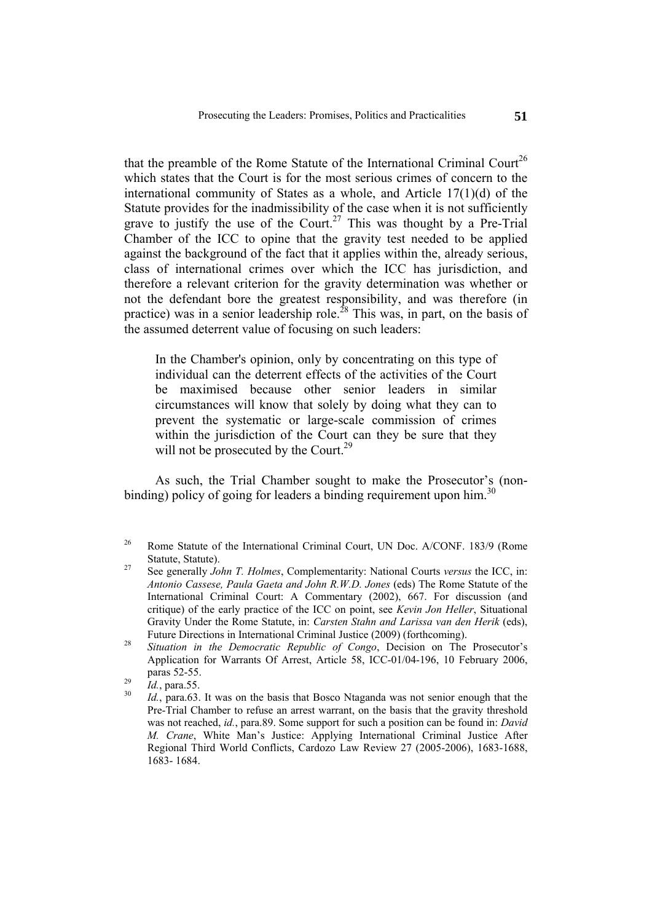that the preamble of the Rome Statute of the International Criminal Court<sup>26</sup> which states that the Court is for the most serious crimes of concern to the international community of States as a whole, and Article 17(1)(d) of the Statute provides for the inadmissibility of the case when it is not sufficiently grave to justify the use of the Court.<sup>27</sup> This was thought by a Pre-Trial Chamber of the ICC to opine that the gravity test needed to be applied against the background of the fact that it applies within the, already serious, class of international crimes over which the ICC has jurisdiction, and therefore a relevant criterion for the gravity determination was whether or not the defendant bore the greatest responsibility, and was therefore (in practice) was in a senior leadership role.<sup>28</sup> This was, in part, on the basis of the assumed deterrent value of focusing on such leaders:

In the Chamber's opinion, only by concentrating on this type of individual can the deterrent effects of the activities of the Court be maximised because other senior leaders in similar circumstances will know that solely by doing what they can to prevent the systematic or large-scale commission of crimes within the jurisdiction of the Court can they be sure that they will not be prosecuted by the Court.<sup>29</sup>

As such, the Trial Chamber sought to make the Prosecutor's (nonbinding) policy of going for leaders a binding requirement upon him.<sup>30</sup>

<sup>&</sup>lt;sup>26</sup> Rome Statute of the International Criminal Court, UN Doc. A/CONF. 183/9 (Rome Statute, Statute). 27 See generally *John T. Holmes*, Complementarity: National Courts *versus* the ICC, in:

*Antonio Cassese, Paula Gaeta and John R.W.D. Jones* (eds) The Rome Statute of the International Criminal Court: A Commentary (2002), 667. For discussion (and critique) of the early practice of the ICC on point, see *Kevin Jon Heller*, Situational Gravity Under the Rome Statute, in: *Carsten Stahn and Larissa van den Herik* (eds),

Future Directions in International Criminal Justice (2009) (forthcoming). 28 *Situation in the Democratic Republic of Congo*, Decision on The Prosecutor's Application for Warrants Of Arrest, Article 58, ICC-01/04-196, 10 February 2006,

paras 52-55.<br><sup>29</sup> *Id.*, para.55.<br><sup>30</sup> *Id.*, para.63. It was on the basis that Bosco Ntaganda was not senior enough that the Pre-Trial Chamber to refuse an arrest warrant, on the basis that the gravity threshold was not reached, *id.*, para.89. Some support for such a position can be found in: *David M. Crane*, White Man's Justice: Applying International Criminal Justice After Regional Third World Conflicts, Cardozo Law Review 27 (2005-2006), 1683-1688, 1683- 1684.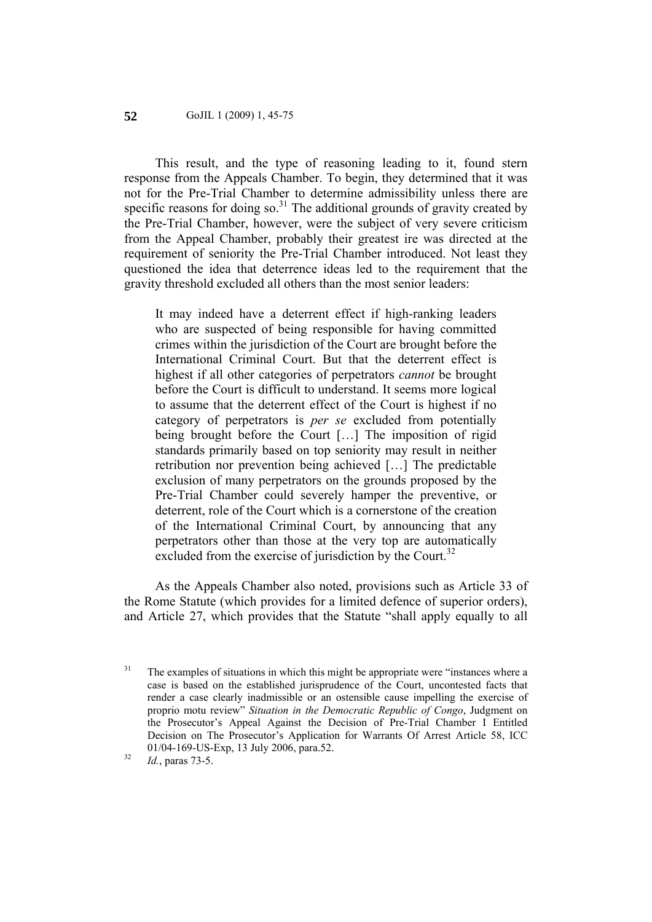#### GoJIL 1 (2009) 1, 45-75 **52**

This result, and the type of reasoning leading to it, found stern response from the Appeals Chamber. To begin, they determined that it was not for the Pre-Trial Chamber to determine admissibility unless there are specific reasons for doing so. $31$  The additional grounds of gravity created by the Pre-Trial Chamber, however, were the subject of very severe criticism from the Appeal Chamber, probably their greatest ire was directed at the requirement of seniority the Pre-Trial Chamber introduced. Not least they questioned the idea that deterrence ideas led to the requirement that the gravity threshold excluded all others than the most senior leaders:

It may indeed have a deterrent effect if high-ranking leaders who are suspected of being responsible for having committed crimes within the jurisdiction of the Court are brought before the International Criminal Court. But that the deterrent effect is highest if all other categories of perpetrators *cannot* be brought before the Court is difficult to understand. It seems more logical to assume that the deterrent effect of the Court is highest if no category of perpetrators is *per se* excluded from potentially being brought before the Court […] The imposition of rigid standards primarily based on top seniority may result in neither retribution nor prevention being achieved […] The predictable exclusion of many perpetrators on the grounds proposed by the Pre-Trial Chamber could severely hamper the preventive, or deterrent, role of the Court which is a cornerstone of the creation of the International Criminal Court, by announcing that any perpetrators other than those at the very top are automatically excluded from the exercise of jurisdiction by the Court.<sup>32</sup>

As the Appeals Chamber also noted, provisions such as Article 33 of the Rome Statute (which provides for a limited defence of superior orders), and Article 27, which provides that the Statute "shall apply equally to all

 $31$  The examples of situations in which this might be appropriate were "instances where a case is based on the established jurisprudence of the Court, uncontested facts that render a case clearly inadmissible or an ostensible cause impelling the exercise of proprio motu review" *Situation in the Democratic Republic of Congo*, Judgment on the Prosecutor's Appeal Against the Decision of Pre-Trial Chamber I Entitled Decision on The Prosecutor's Application for Warrants Of Arrest Article 58, ICC 01/04-169-US-Exp, 13 July 2006, para.52. 32 *Id.*, paras 73-5.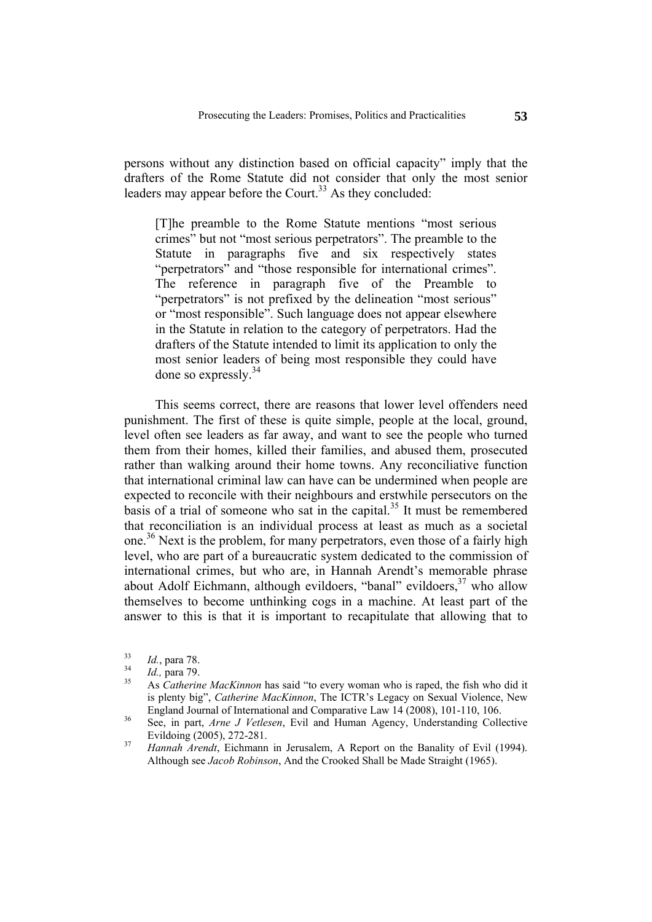persons without any distinction based on official capacity" imply that the drafters of the Rome Statute did not consider that only the most senior leaders may appear before the Court.<sup>33</sup> As they concluded:

[T]he preamble to the Rome Statute mentions "most serious crimes" but not "most serious perpetrators". The preamble to the Statute in paragraphs five and six respectively states "perpetrators" and "those responsible for international crimes". The reference in paragraph five of the Preamble to "perpetrators" is not prefixed by the delineation "most serious" or "most responsible". Such language does not appear elsewhere in the Statute in relation to the category of perpetrators. Had the drafters of the Statute intended to limit its application to only the most senior leaders of being most responsible they could have done so expressly.34

This seems correct, there are reasons that lower level offenders need punishment. The first of these is quite simple, people at the local, ground, level often see leaders as far away, and want to see the people who turned them from their homes, killed their families, and abused them, prosecuted rather than walking around their home towns. Any reconciliative function that international criminal law can have can be undermined when people are expected to reconcile with their neighbours and erstwhile persecutors on the basis of a trial of someone who sat in the capital.<sup>35</sup> It must be remembered that reconciliation is an individual process at least as much as a societal one.<sup>36</sup> Next is the problem, for many perpetrators, even those of a fairly high level, who are part of a bureaucratic system dedicated to the commission of international crimes, but who are, in Hannah Arendt's memorable phrase about Adolf Eichmann, although evildoers, "banal" evildoers,  $37$  who allow themselves to become unthinking cogs in a machine. At least part of the answer to this is that it is important to recapitulate that allowing that to

<sup>33</sup>*Id.*, para 78. <sup>34</sup>*Id.,* para 79. 35 As *Catherine MacKinnon* has said "to every woman who is raped, the fish who did it is plenty big", *Catherine MacKinnon*, The ICTR's Legacy on Sexual Violence, New England Journal of International and Comparative Law 14 (2008), 101-110, 106. 36 See, in part, *Arne J Vetlesen*, Evil and Human Agency, Understanding Collective

Evildoing (2005), 272-281. 37 *Hannah Arendt*, Eichmann in Jerusalem, A Report on the Banality of Evil (1994).

Although see *Jacob Robinson*, And the Crooked Shall be Made Straight (1965).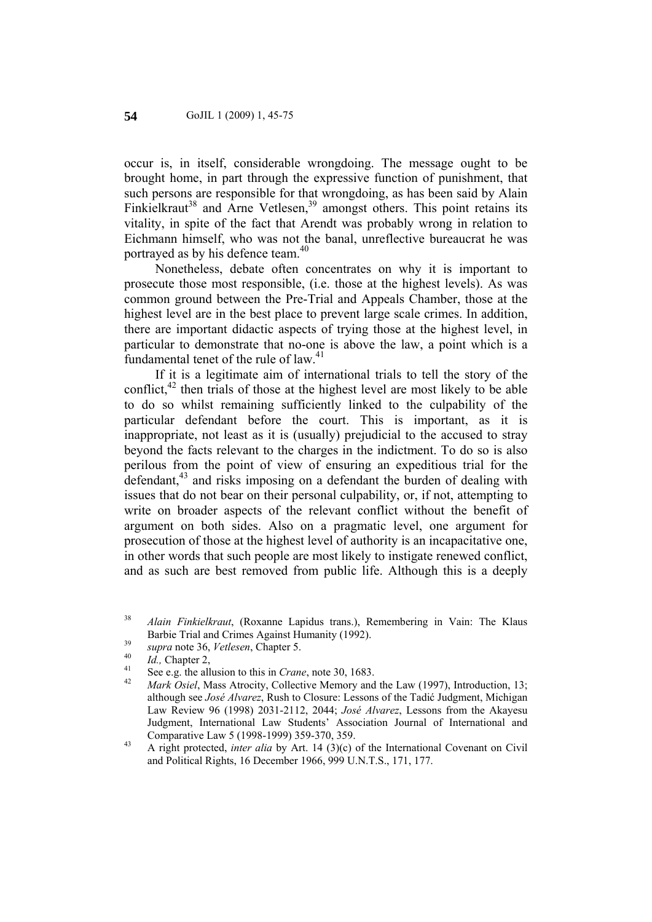occur is, in itself, considerable wrongdoing. The message ought to be brought home, in part through the expressive function of punishment, that such persons are responsible for that wrongdoing, as has been said by Alain Finkielkraut<sup>38</sup> and Arne Vetlesen,<sup>39</sup> amongst others. This point retains its vitality, in spite of the fact that Arendt was probably wrong in relation to Eichmann himself, who was not the banal, unreflective bureaucrat he was portrayed as by his defence team.<sup>40</sup>

Nonetheless, debate often concentrates on why it is important to prosecute those most responsible, (i.e. those at the highest levels). As was common ground between the Pre-Trial and Appeals Chamber, those at the highest level are in the best place to prevent large scale crimes. In addition, there are important didactic aspects of trying those at the highest level, in particular to demonstrate that no-one is above the law, a point which is a fundamental tenet of the rule of law. $41$ 

If it is a legitimate aim of international trials to tell the story of the conflict, $42$  then trials of those at the highest level are most likely to be able to do so whilst remaining sufficiently linked to the culpability of the particular defendant before the court. This is important, as it is inappropriate, not least as it is (usually) prejudicial to the accused to stray beyond the facts relevant to the charges in the indictment. To do so is also perilous from the point of view of ensuring an expeditious trial for the defendant, $43$  and risks imposing on a defendant the burden of dealing with issues that do not bear on their personal culpability, or, if not, attempting to write on broader aspects of the relevant conflict without the benefit of argument on both sides. Also on a pragmatic level, one argument for prosecution of those at the highest level of authority is an incapacitative one, in other words that such people are most likely to instigate renewed conflict, and as such are best removed from public life. Although this is a deeply

<sup>38</sup> *Alain Finkielkraut*, (Roxanne Lapidus trans.), Remembering in Vain: The Klaus Barbie Trial and Crimes Against Humanity (1992).<br> *supra* note 36, *Vetlesen*, Chapter 5.<br> *d.*, Chapter 2,<br>
See e.g. the allusion to this in *Crane*, note 30, 1683.<br> *Allace to the Siel*, Mass Atrocity, Collective Memory

although see *José Alvarez*, Rush to Closure: Lessons of the Tadić Judgment, Michigan Law Review 96 (1998) 2031-2112, 2044; *José Alvarez*, Lessons from the Akayesu Judgment, International Law Students' Association Journal of International and

Comparative Law 5 (1998-1999) 359-370, 359. 43 A right protected, *inter alia* by Art. 14 (3)(c) of the International Covenant on Civil and Political Rights, 16 December 1966, 999 U.N.T.S., 171, 177.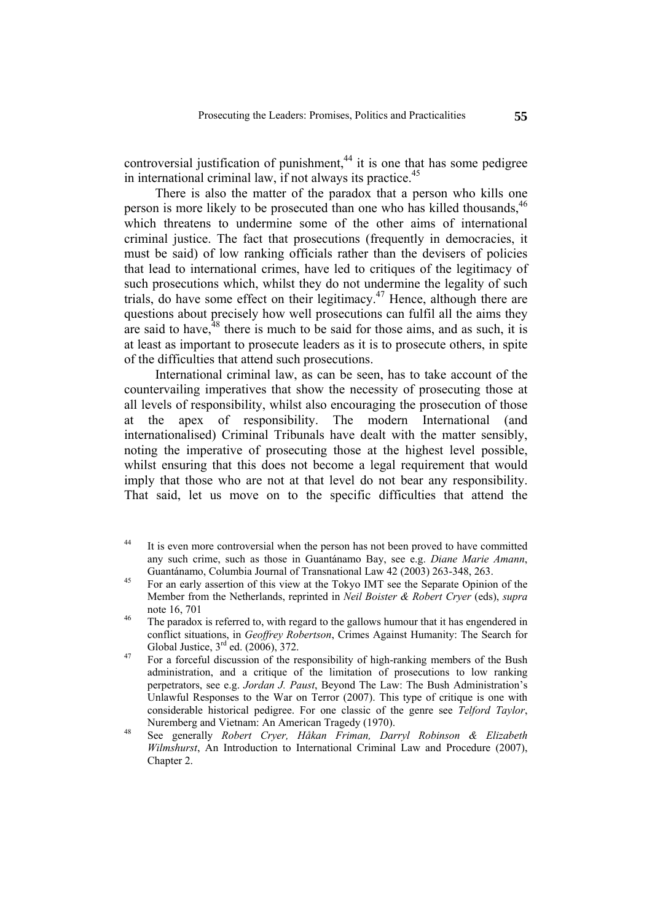controversial justification of punishment, $44$  it is one that has some pedigree in international criminal law, if not always its practice.<sup>45</sup>

There is also the matter of the paradox that a person who kills one person is more likely to be prosecuted than one who has killed thousands, <sup>46</sup> which threatens to undermine some of the other aims of international criminal justice. The fact that prosecutions (frequently in democracies, it must be said) of low ranking officials rather than the devisers of policies that lead to international crimes, have led to critiques of the legitimacy of such prosecutions which, whilst they do not undermine the legality of such trials, do have some effect on their legitimacy.47 Hence, although there are questions about precisely how well prosecutions can fulfil all the aims they are said to have,  $48$  there is much to be said for those aims, and as such, it is at least as important to prosecute leaders as it is to prosecute others, in spite of the difficulties that attend such prosecutions.

International criminal law, as can be seen, has to take account of the countervailing imperatives that show the necessity of prosecuting those at all levels of responsibility, whilst also encouraging the prosecution of those at the apex of responsibility. The modern International (and internationalised) Criminal Tribunals have dealt with the matter sensibly, noting the imperative of prosecuting those at the highest level possible, whilst ensuring that this does not become a legal requirement that would imply that those who are not at that level do not bear any responsibility. That said, let us move on to the specific difficulties that attend the

<sup>&</sup>lt;sup>44</sup> It is even more controversial when the person has not been proved to have committed any such crime, such as those in Guantánamo Bay, see e.g. *Diane Marie Amann*,

Guantánamo, Columbia Journal of Transnational Law 42 (2003) 263-348, 263.<br><sup>45</sup> For an early assertion of this view at the Tokyo IMT see the Separate Opinion of the Member from the Netherlands, reprinted in *Neil Boister & Robert Cryer* (eds), *supra*  note 16, 701  $\frac{46}{100}$  The paradox is referred to, with regard to the gallows humour that it has engendered in

conflict situations, in *Geoffrey Robertson*, Crimes Against Humanity: The Search for Global Justice, 3<sup>rd</sup> ed. (2006), 372.

 $\frac{47}{47}$  For a forceful discussion of the responsibility of high-ranking members of the Bush administration, and a critique of the limitation of prosecutions to low ranking perpetrators, see e.g. *Jordan J. Paust*, Beyond The Law: The Bush Administration's Unlawful Responses to the War on Terror (2007). This type of critique is one with considerable historical pedigree. For one classic of the genre see *Telford Taylor*,

Nuremberg and Vietnam: An American Tragedy (1970). 48 See generally *Robert Cryer, Håkan Friman, Darryl Robinson & Elizabeth Wilmshurst*, An Introduction to International Criminal Law and Procedure (2007), Chapter 2.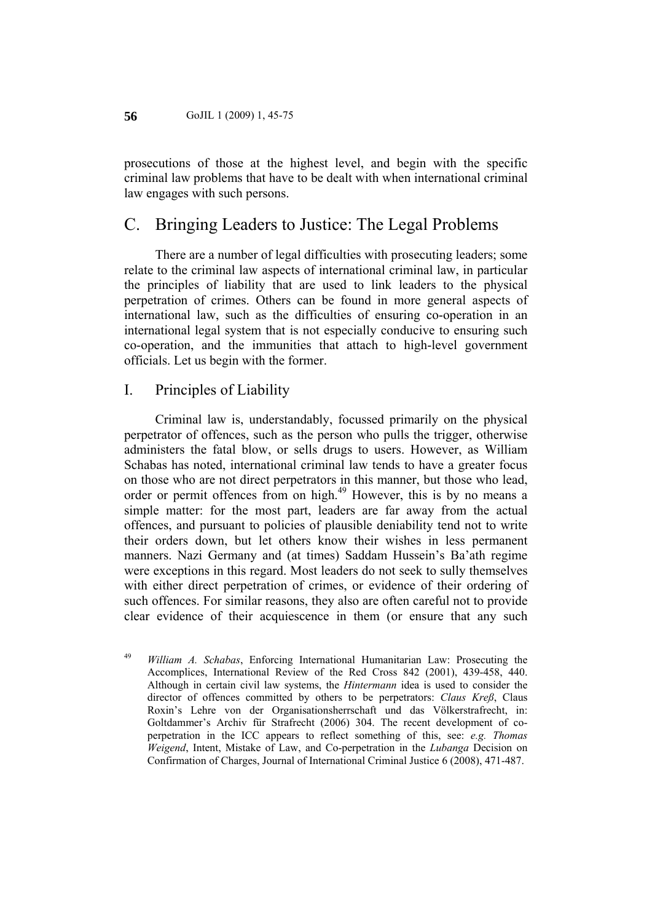prosecutions of those at the highest level, and begin with the specific criminal law problems that have to be dealt with when international criminal law engages with such persons.

## C. Bringing Leaders to Justice: The Legal Problems

There are a number of legal difficulties with prosecuting leaders; some relate to the criminal law aspects of international criminal law, in particular the principles of liability that are used to link leaders to the physical perpetration of crimes. Others can be found in more general aspects of international law, such as the difficulties of ensuring co-operation in an international legal system that is not especially conducive to ensuring such co-operation, and the immunities that attach to high-level government officials. Let us begin with the former.

#### I. Principles of Liability

Criminal law is, understandably, focussed primarily on the physical perpetrator of offences, such as the person who pulls the trigger, otherwise administers the fatal blow, or sells drugs to users. However, as William Schabas has noted, international criminal law tends to have a greater focus on those who are not direct perpetrators in this manner, but those who lead, order or permit offences from on high.49 However, this is by no means a simple matter: for the most part, leaders are far away from the actual offences, and pursuant to policies of plausible deniability tend not to write their orders down, but let others know their wishes in less permanent manners. Nazi Germany and (at times) Saddam Hussein's Ba'ath regime were exceptions in this regard. Most leaders do not seek to sully themselves with either direct perpetration of crimes, or evidence of their ordering of such offences. For similar reasons, they also are often careful not to provide clear evidence of their acquiescence in them (or ensure that any such

<sup>49</sup> *William A. Schabas*, Enforcing International Humanitarian Law: Prosecuting the Accomplices, International Review of the Red Cross 842 (2001), 439-458, 440. Although in certain civil law systems, the *Hintermann* idea is used to consider the director of offences committed by others to be perpetrators: *Claus Kreß*, Claus Roxin's Lehre von der Organisationsherrschaft und das Völkerstrafrecht, in: Goltdammer's Archiv für Strafrecht (2006) 304. The recent development of coperpetration in the ICC appears to reflect something of this, see: *e.g. Thomas Weigend*, Intent, Mistake of Law, and Co-perpetration in the *Lubanga* Decision on Confirmation of Charges, Journal of International Criminal Justice 6 (2008), 471-487.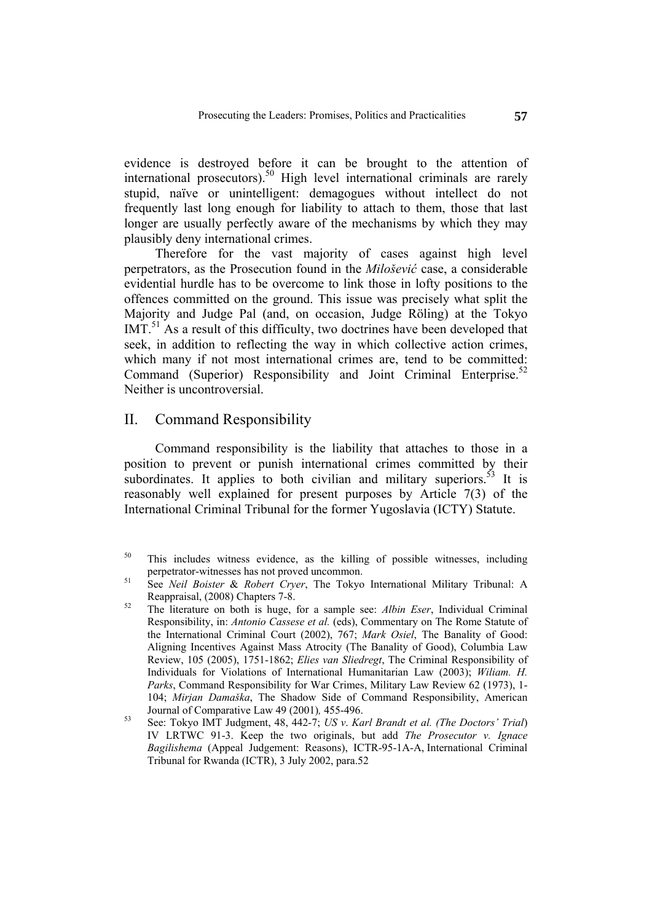evidence is destroyed before it can be brought to the attention of international prosecutors).<sup>50</sup> High level international criminals are rarely stupid, naïve or unintelligent: demagogues without intellect do not frequently last long enough for liability to attach to them, those that last longer are usually perfectly aware of the mechanisms by which they may plausibly deny international crimes.

Therefore for the vast majority of cases against high level perpetrators, as the Prosecution found in the *Milošević* case, a considerable evidential hurdle has to be overcome to link those in lofty positions to the offences committed on the ground. This issue was precisely what split the Majority and Judge Pal (and, on occasion, Judge Röling) at the Tokyo  $IMT<sup>51</sup>$  As a result of this difficulty, two doctrines have been developed that seek, in addition to reflecting the way in which collective action crimes, which many if not most international crimes are, tend to be committed: Command (Superior) Responsibility and Joint Criminal Enterprise.<sup>52</sup> Neither is uncontroversial.

#### II. Command Responsibility

Command responsibility is the liability that attaches to those in a position to prevent or punish international crimes committed by their subordinates. It applies to both civilian and military superiors.  $53$  It is reasonably well explained for present purposes by Article 7(3) of the International Criminal Tribunal for the former Yugoslavia (ICTY) Statute.

<sup>50</sup> This includes witness evidence, as the killing of possible witnesses, including perpetrator-witnesses has not proved uncommon. 51 See *Neil Boister* & *Robert Cryer*, The Tokyo International Military Tribunal: A

Reappraisal, (2008) Chapters 7-8. 52 The literature on both is huge, for a sample see: *Albin Eser*, Individual Criminal

Responsibility, in: *Antonio Cassese et al.* (eds), Commentary on The Rome Statute of the International Criminal Court (2002), 767; *Mark Osiel*, The Banality of Good: Aligning Incentives Against Mass Atrocity (The Banality of Good), Columbia Law Review, 105 (2005), 1751-1862; *Elies van Sliedregt*, The Criminal Responsibility of Individuals for Violations of International Humanitarian Law (2003); *Wiliam. H. Parks*, Command Responsibility for War Crimes, Military Law Review 62 (1973), 1- 104; *Mirjan Damaška*, The Shadow Side of Command Responsibility, American Journal of Comparative Law 49 (2001), 455-496.<br><sup>53</sup> See: Tokyo IMT Judgment, 48, 442-7; *US v. Karl Brandt et al. (The Doctors' Trial*)

IV LRTWC 91-3. Keep the two originals, but add *The Prosecutor v. Ignace Bagilishema* (Appeal Judgement: Reasons), ICTR-95-1A-A, International Criminal Tribunal for Rwanda (ICTR), 3 July 2002, para.52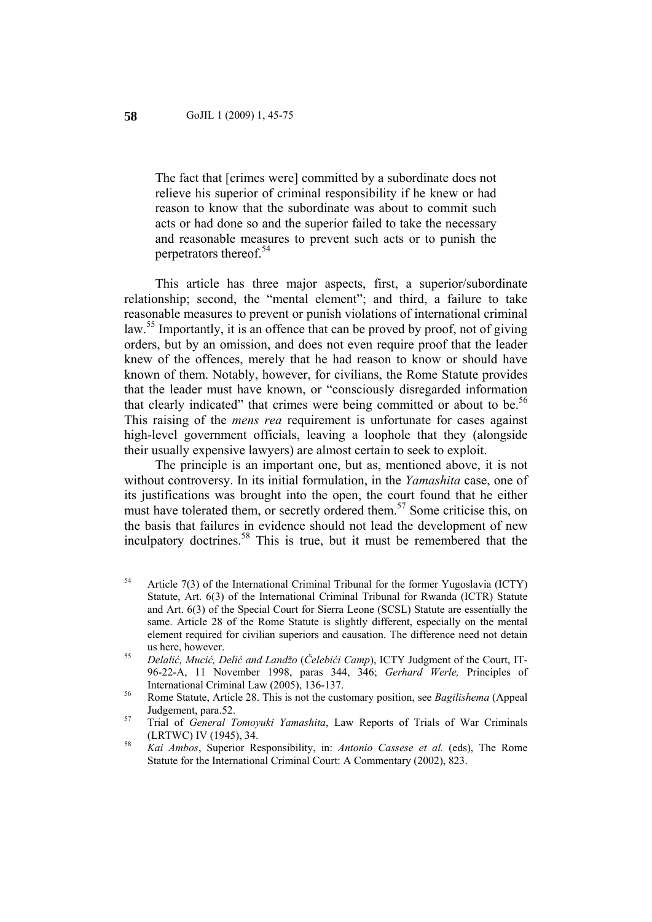The fact that [crimes were] committed by a subordinate does not relieve his superior of criminal responsibility if he knew or had reason to know that the subordinate was about to commit such acts or had done so and the superior failed to take the necessary and reasonable measures to prevent such acts or to punish the perpetrators thereof.<sup>54</sup>

This article has three major aspects, first, a superior/subordinate relationship; second, the "mental element"; and third, a failure to take reasonable measures to prevent or punish violations of international criminal law.<sup>55</sup> Importantly, it is an offence that can be proved by proof, not of giving orders, but by an omission, and does not even require proof that the leader knew of the offences, merely that he had reason to know or should have known of them. Notably, however, for civilians, the Rome Statute provides that the leader must have known, or "consciously disregarded information that clearly indicated" that crimes were being committed or about to be.<sup>56</sup> This raising of the *mens rea* requirement is unfortunate for cases against high-level government officials, leaving a loophole that they (alongside their usually expensive lawyers) are almost certain to seek to exploit.

The principle is an important one, but as, mentioned above, it is not without controversy. In its initial formulation, in the *Yamashita* case, one of its justifications was brought into the open, the court found that he either must have tolerated them, or secretly ordered them.<sup>57</sup> Some criticise this, on the basis that failures in evidence should not lead the development of new inculpatory doctrines.58 This is true, but it must be remembered that the

- $54$  Article 7(3) of the International Criminal Tribunal for the former Yugoslavia (ICTY) Statute, Art. 6(3) of the International Criminal Tribunal for Rwanda (ICTR) Statute and Art. 6(3) of the Special Court for Sierra Leone (SCSL) Statute are essentially the same. Article 28 of the Rome Statute is slightly different, especially on the mental element required for civilian superiors and causation. The difference need not detain
- us here, however. 55 *Delalić, Mucić, Delić and Landžo* (*Čelebići Camp*), ICTY Judgment of the Court, IT-96-22-A, 11 November 1998, paras 344, 346; *Gerhard Werle,* Principles of

International Criminal Law (2005), 136-137. 56 Rome Statute, Article 28. This is not the customary position, see *Bagilishema* (Appeal Judgement, para.52. 57 Trial of *General Tomoyuki Yamashita*, Law Reports of Trials of War Criminals

<sup>(</sup>LRTWC) IV (1945), 34. 58 *Kai Ambos*, Superior Responsibility, in: *Antonio Cassese et al.* (eds), The Rome

Statute for the International Criminal Court: A Commentary (2002), 823.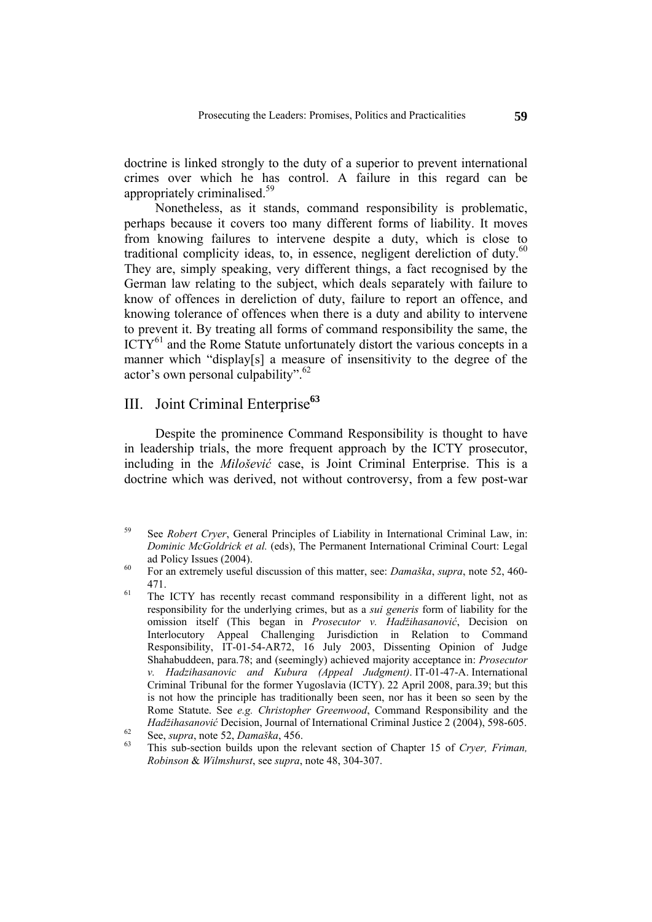doctrine is linked strongly to the duty of a superior to prevent international crimes over which he has control. A failure in this regard can be appropriately criminalised.59

Nonetheless, as it stands, command responsibility is problematic, perhaps because it covers too many different forms of liability. It moves from knowing failures to intervene despite a duty, which is close to traditional complicity ideas, to, in essence, negligent dereliction of duty. $60$ They are, simply speaking, very different things, a fact recognised by the German law relating to the subject, which deals separately with failure to know of offences in dereliction of duty, failure to report an offence, and knowing tolerance of offences when there is a duty and ability to intervene to prevent it. By treating all forms of command responsibility the same, the  $\text{ICTY}^{61}$  and the Rome Statute unfortunately distort the various concepts in a manner which "display[s] a measure of insensitivity to the degree of the actor's own personal culpability".62

## III. Joint Criminal Enterprise**<sup>63</sup>**

Despite the prominence Command Responsibility is thought to have in leadership trials, the more frequent approach by the ICTY prosecutor, including in the *Milošević* case, is Joint Criminal Enterprise. This is a doctrine which was derived, not without controversy, from a few post-war

<sup>59</sup> See *Robert Cryer*, General Principles of Liability in International Criminal Law, in: *Dominic McGoldrick et al.* (eds), The Permanent International Criminal Court: Legal ad Policy Issues (2004).<br><sup>60</sup> For an extremely useful discussion of this matter, see: *Damaška, supra*, note 52, 460-

<sup>471.&</sup>lt;br> $\frac{471}{\pi}$  The ICTY has recently recast command responsibility in a different light, not as

responsibility for the underlying crimes, but as a *sui generis* form of liability for the omission itself (This began in *Prosecutor v. Hadžihasanović*, Decision on Interlocutory Appeal Challenging Jurisdiction in Relation to Command Responsibility, IT-01-54-AR72, 16 July 2003, Dissenting Opinion of Judge Shahabuddeen, para.78; and (seemingly) achieved majority acceptance in: *Prosecutor v. Hadzihasanovic and Kubura (Appeal Judgment)*. IT-01-47-A. International Criminal Tribunal for the former Yugoslavia (ICTY). 22 April 2008, para.39; but this is not how the principle has traditionally been seen, nor has it been so seen by the Rome Statute. See *e.g. Christopher Greenwood*, Command Responsibility and the *Hadžihasanović* Decision, Journal of International Criminal Justice 2 (2004), 598-605.<br>See, *supra*, note 52, *Damaška*, 456.<br><sup>63</sup> This sub-section builds upon the relevant section of Chapter 15 of *Cryer*, *Friman*,

*Robinson* & *Wilmshurst*, see *supra*, note 48, 304-307.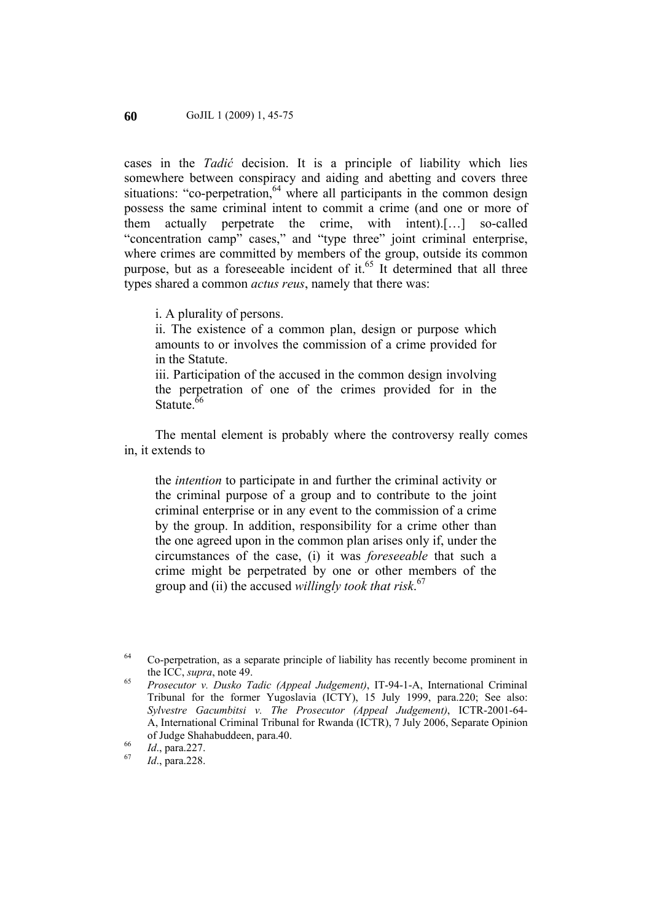cases in the *Tadić* decision. It is a principle of liability which lies somewhere between conspiracy and aiding and abetting and covers three situations: "co-perpetration,  $64$  where all participants in the common design possess the same criminal intent to commit a crime (and one or more of them actually perpetrate the crime, with intent).[…] so-called "concentration camp" cases," and "type three" joint criminal enterprise, where crimes are committed by members of the group, outside its common purpose, but as a foreseeable incident of it.<sup>65</sup> It determined that all three types shared a common *actus reus*, namely that there was:

i. A plurality of persons.

ii. The existence of a common plan, design or purpose which amounts to or involves the commission of a crime provided for in the Statute.

iii. Participation of the accused in the common design involving the perpetration of one of the crimes provided for in the Statute  $66$ 

The mental element is probably where the controversy really comes in, it extends to

the *intention* to participate in and further the criminal activity or the criminal purpose of a group and to contribute to the joint criminal enterprise or in any event to the commission of a crime by the group. In addition, responsibility for a crime other than the one agreed upon in the common plan arises only if, under the circumstances of the case, (i) it was *foreseeable* that such a crime might be perpetrated by one or other members of the group and (ii) the accused *willingly took that risk*. 67

<sup>&</sup>lt;sup>64</sup> Co-perpetration, as a separate principle of liability has recently become prominent in the ICC, *supra*, note 49.<br><sup>65</sup> *Prosecutor v. Dusko Tadic (Appeal Judgement)*, IT-94-1-A, International Criminal

Tribunal for the former Yugoslavia (ICTY), 15 July 1999, para.220; See also: *Sylvestre Gacumbitsi v. The Prosecutor (Appeal Judgement)*, ICTR-2001-64- A, International Criminal Tribunal for Rwanda (ICTR), 7 July 2006, Separate Opinion of Judge Shahabuddeen, para.40. 66 *Id*., para.227. 67 *Id*., para.228.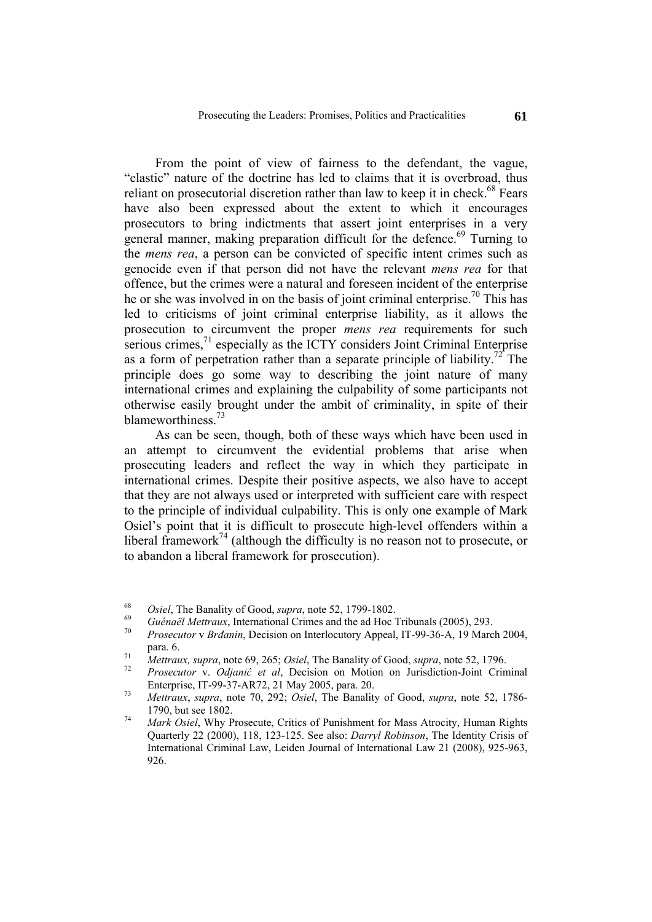From the point of view of fairness to the defendant, the vague, "elastic" nature of the doctrine has led to claims that it is overbroad, thus reliant on prosecutorial discretion rather than law to keep it in check.<sup>68</sup> Fears have also been expressed about the extent to which it encourages prosecutors to bring indictments that assert joint enterprises in a very general manner, making preparation difficult for the defence.<sup>69</sup> Turning to the *mens rea*, a person can be convicted of specific intent crimes such as genocide even if that person did not have the relevant *mens rea* for that offence, but the crimes were a natural and foreseen incident of the enterprise he or she was involved in on the basis of joint criminal enterprise.<sup>70</sup> This has led to criticisms of joint criminal enterprise liability, as it allows the prosecution to circumvent the proper *mens rea* requirements for such serious crimes, $<sup>71</sup>$  especially as the ICTY considers Joint Criminal Enterprise</sup> as a form of perpetration rather than a separate principle of liability.<sup>72</sup> The principle does go some way to describing the joint nature of many international crimes and explaining the culpability of some participants not otherwise easily brought under the ambit of criminality, in spite of their blameworthiness.<sup>73</sup>

As can be seen, though, both of these ways which have been used in an attempt to circumvent the evidential problems that arise when prosecuting leaders and reflect the way in which they participate in international crimes. Despite their positive aspects, we also have to accept that they are not always used or interpreted with sufficient care with respect to the principle of individual culpability. This is only one example of Mark Osiel's point that it is difficult to prosecute high-level offenders within a liberal framework<sup>74</sup> (although the difficulty is no reason not to prosecute, or to abandon a liberal framework for prosecution).

<sup>&</sup>lt;sup>68</sup> *Osiel*, The Banality of Good, *supra*, note 52, 1799-1802.<br> *Guénaël Mettraux*, International Crimes and the ad Hoc Tribunals (2005), 293.<br> *Prosecutor v Brđanin*, Decision on Interlocutory Appeal, IT-99-36-A, 19 Ma para. 6.<br> *Mettraux, supra, note 69, 265; Osiel, The Banality of Good, supra, note 52, 1796.*<br> *Prosecutor v. Odjanić et al, Decision on Motion on Jurisdiction-Joint Criminal* 

Enterprise, IT-99-37-AR72, 21 May 2005, para. 20. 73 *Mettraux*, *supra*, note 70, 292; *Osiel*, The Banality of Good, *supra*, note 52, 1786-

<sup>1790,</sup> but see 1802. 74 *Mark Osiel*, Why Prosecute, Critics of Punishment for Mass Atrocity, Human Rights

Quarterly 22 (2000), 118, 123-125. See also: *Darryl Robinson*, The Identity Crisis of International Criminal Law, Leiden Journal of International Law 21 (2008), 925-963, 926.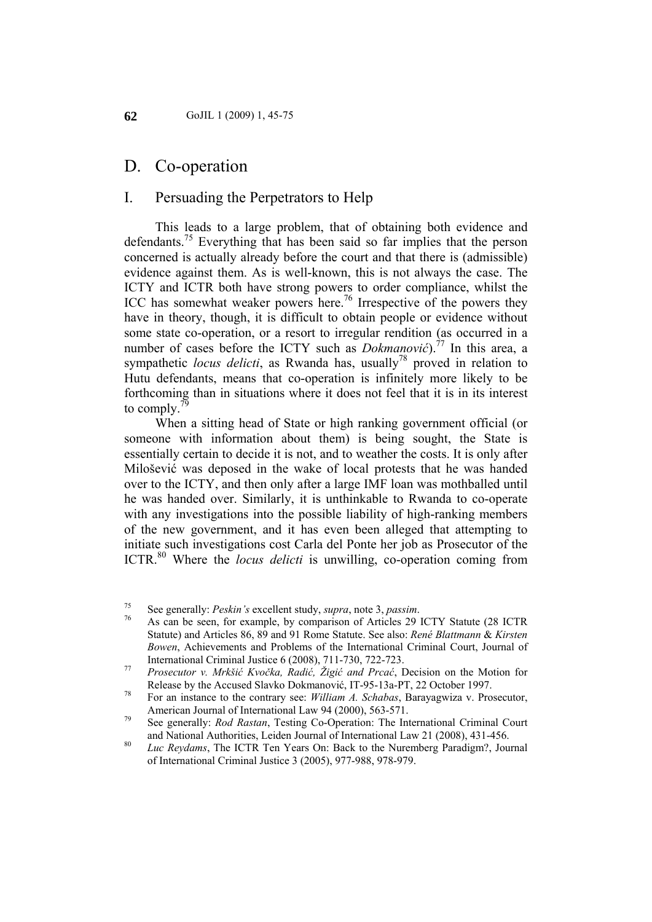## D. Co-operation

#### I. Persuading the Perpetrators to Help

This leads to a large problem, that of obtaining both evidence and defendants.<sup>75</sup> Everything that has been said so far implies that the person concerned is actually already before the court and that there is (admissible) evidence against them. As is well-known, this is not always the case. The ICTY and ICTR both have strong powers to order compliance, whilst the ICC has somewhat weaker powers here.<sup>76</sup> Irrespective of the powers they have in theory, though, it is difficult to obtain people or evidence without some state co-operation, or a resort to irregular rendition (as occurred in a number of cases before the ICTY such as *Dokmanović*).<sup>77</sup> In this area, a sympathetic *locus delicti*, as Rwanda has, usually<sup>78</sup> proved in relation to Hutu defendants, means that co-operation is infinitely more likely to be forthcoming than in situations where it does not feel that it is in its interest to comply. $\sqrt{2}$ 

When a sitting head of State or high ranking government official (or someone with information about them) is being sought, the State is essentially certain to decide it is not, and to weather the costs. It is only after Milošević was deposed in the wake of local protests that he was handed over to the ICTY, and then only after a large IMF loan was mothballed until he was handed over. Similarly, it is unthinkable to Rwanda to co-operate with any investigations into the possible liability of high-ranking members of the new government, and it has even been alleged that attempting to initiate such investigations cost Carla del Ponte her job as Prosecutor of the ICTR.<sup>80</sup> Where the *locus delicti* is unwilling, co-operation coming from

<sup>75</sup> See generally: *Peskin's* excellent study, *supra*, note 3, *passim*.<br><sup>76</sup> As can be seen, for example, by comparison of Articles 29 ICTY Statute (28 ICTR Statute) and Articles 86, 89 and 91 Rome Statute. See also: *René Blattmann* & *Kirsten Bowen*, Achievements and Problems of the International Criminal Court, Journal of

International Criminal Justice 6 (2008), 711-730, 722-723. 77 *Prosecutor v. Mrkšić Kvočka, Radić, Žigić and Prcać*, Decision on the Motion for Release by the Accused Slavko Dokmanović, IT-95-13a-PT, 22 October 1997. 78 For an instance to the contrary see: *William A. Schabas*, Barayagwiza v. Prosecutor,

American Journal of International Law 94 (2000), 563-571.<br><sup>79</sup> See generally: *Rod Rastan*, Testing Co-Operation: The International Criminal Court

and National Authorities, Leiden Journal of International Law 21 (2008), 431-456. 80 *Luc Reydams*, The ICTR Ten Years On: Back to the Nuremberg Paradigm?, Journal

of International Criminal Justice 3 (2005), 977-988, 978-979.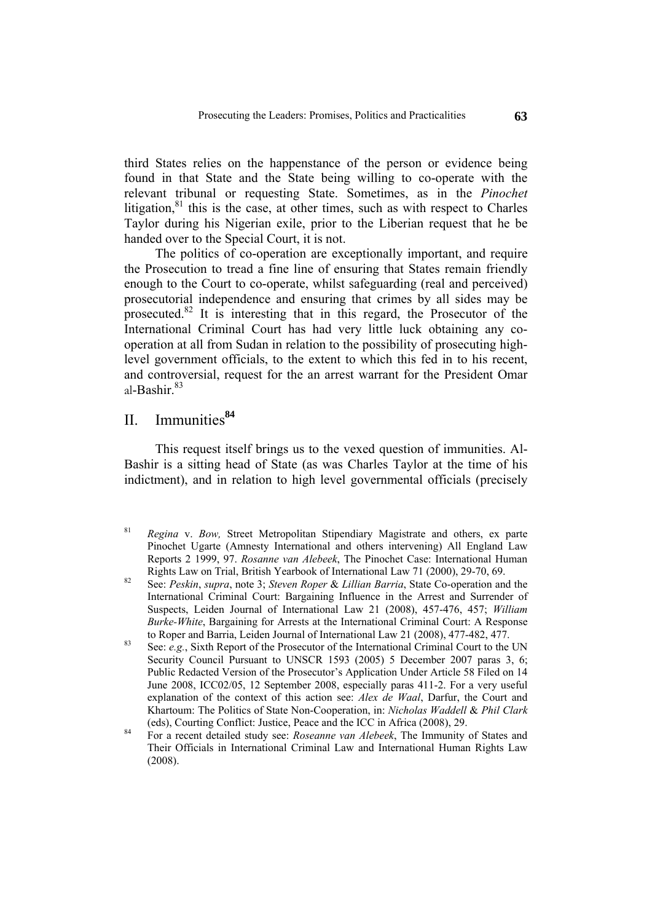third States relies on the happenstance of the person or evidence being found in that State and the State being willing to co-operate with the relevant tribunal or requesting State. Sometimes, as in the *Pinochet*  litigation, $81$  this is the case, at other times, such as with respect to Charles Taylor during his Nigerian exile, prior to the Liberian request that he be handed over to the Special Court, it is not.

The politics of co-operation are exceptionally important, and require the Prosecution to tread a fine line of ensuring that States remain friendly enough to the Court to co-operate, whilst safeguarding (real and perceived) prosecutorial independence and ensuring that crimes by all sides may be prosecuted.<sup>82</sup> It is interesting that in this regard, the Prosecutor of the International Criminal Court has had very little luck obtaining any cooperation at all from Sudan in relation to the possibility of prosecuting highlevel government officials, to the extent to which this fed in to his recent, and controversial, request for the an arrest warrant for the President Omar al-Bashir. $83$ 

## II. Immunities**<sup>84</sup>**

This request itself brings us to the vexed question of immunities. Al-Bashir is a sitting head of State (as was Charles Taylor at the time of his indictment), and in relation to high level governmental officials (precisely

- 81 *Regina* v. *Bow,* Street Metropolitan Stipendiary Magistrate and others, ex parte Pinochet Ugarte (Amnesty International and others intervening) All England Law Reports 2 1999, 97. *Rosanne van Alebeek*, The Pinochet Case: International Human
- Rights Law on Trial, British Yearbook of International Law 71 (2000), 29-70, 69.<br><sup>82</sup> See: *Peskin, supra*, note 3; *Steven Roper & Lillian Barria*, State Co-operation and the International Criminal Court: Bargaining Influence in the Arrest and Surrender of Suspects, Leiden Journal of International Law 21 (2008), 457-476, 457; *William Burke-White*, Bargaining for Arrests at the International Criminal Court: A Response to Roper and Barria, Leiden Journal of International Law 21 (2008), 477-482, 477.<br><sup>83</sup> See: *e.g.*, Sixth Report of the Prosecutor of the International Criminal Court to the UN
- Security Council Pursuant to UNSCR 1593 (2005) 5 December 2007 paras 3, 6; Public Redacted Version of the Prosecutor's Application Under Article 58 Filed on 14 June 2008, ICC02/05, 12 September 2008, especially paras 411-2. For a very useful explanation of the context of this action see: *Alex de Waal*, Darfur, the Court and Khartoum: The Politics of State Non-Cooperation, in: *Nicholas Waddell* & *Phil Clark*
- (eds), Courting Conflict: Justice, Peace and the ICC in Africa (2008), 29. 84 For a recent detailed study see: *Roseanne van Alebeek*, The Immunity of States and Their Officials in International Criminal Law and International Human Rights Law (2008).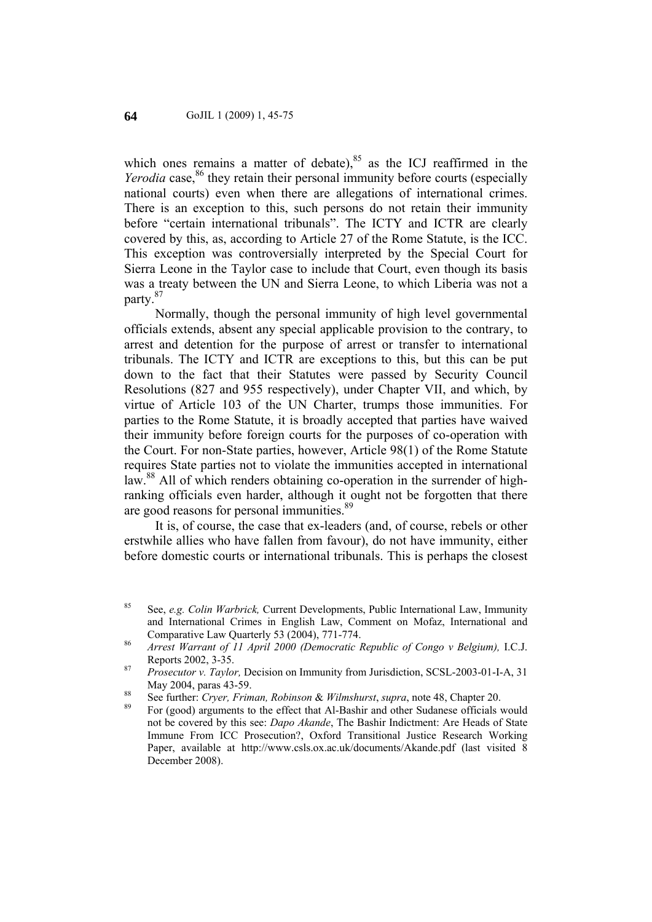which ones remains a matter of debate), $85$  as the ICJ reaffirmed in the *Yerodia* case,<sup>86</sup> they retain their personal immunity before courts (especially national courts) even when there are allegations of international crimes. There is an exception to this, such persons do not retain their immunity before "certain international tribunals". The ICTY and ICTR are clearly covered by this, as, according to Article 27 of the Rome Statute, is the ICC. This exception was controversially interpreted by the Special Court for Sierra Leone in the Taylor case to include that Court, even though its basis was a treaty between the UN and Sierra Leone, to which Liberia was not a party.87

Normally, though the personal immunity of high level governmental officials extends, absent any special applicable provision to the contrary, to arrest and detention for the purpose of arrest or transfer to international tribunals. The ICTY and ICTR are exceptions to this, but this can be put down to the fact that their Statutes were passed by Security Council Resolutions (827 and 955 respectively), under Chapter VII, and which, by virtue of Article 103 of the UN Charter, trumps those immunities. For parties to the Rome Statute, it is broadly accepted that parties have waived their immunity before foreign courts for the purposes of co-operation with the Court. For non-State parties, however, Article 98(1) of the Rome Statute requires State parties not to violate the immunities accepted in international law.<sup>88</sup> All of which renders obtaining co-operation in the surrender of highranking officials even harder, although it ought not be forgotten that there are good reasons for personal immunities.<sup>89</sup>

It is, of course, the case that ex-leaders (and, of course, rebels or other erstwhile allies who have fallen from favour), do not have immunity, either before domestic courts or international tribunals. This is perhaps the closest

<sup>85</sup> See, *e.g. Colin Warbrick,* Current Developments, Public International Law, Immunity and International Crimes in English Law, Comment on Mofaz, International and Comparative Law Quarterly 53 (2004), 771-774. 86 *Arrest Warrant of 11 April 2000 (Democratic Republic of Congo v Belgium),* I.C.J.

Reports 2002, 3-35. 87 *Prosecutor v. Taylor,* Decision on Immunity from Jurisdiction, SCSL-2003-01-I-A, 31

May 2004, paras 43-59.<br><sup>88</sup> See further: *Cryer, Friman, Robinson & Wilmshurst*, *supra*, note 48, Chapter 20.<br><sup>89</sup> For (good) arguments to the effect that Al-Bashir and other Sudanese officials would

not be covered by this see: *Dapo Akande*, The Bashir Indictment: Are Heads of State Immune From ICC Prosecution?, Oxford Transitional Justice Research Working Paper, available at http://www.csls.ox.ac.uk/documents/Akande.pdf (last visited 8 December 2008).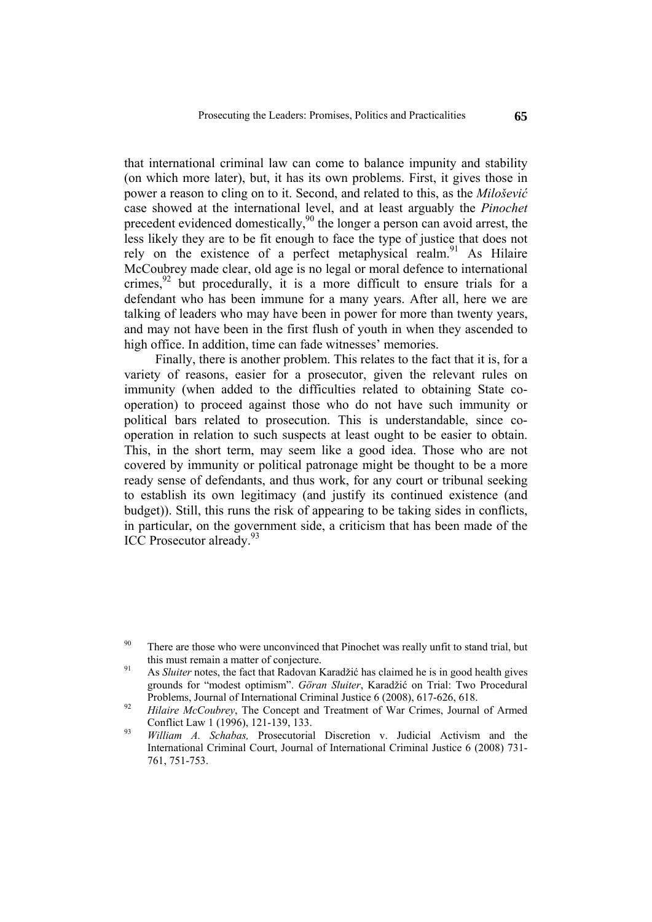that international criminal law can come to balance impunity and stability (on which more later), but, it has its own problems. First, it gives those in power a reason to cling on to it. Second, and related to this, as the *Milošević* case showed at the international level, and at least arguably the *Pinochet*  precedent evidenced domestically, $90$  the longer a person can avoid arrest, the less likely they are to be fit enough to face the type of justice that does not rely on the existence of a perfect metaphysical realm.<sup>91</sup> As Hilaire McCoubrey made clear, old age is no legal or moral defence to international crimes,  $92$  but procedurally, it is a more difficult to ensure trials for a defendant who has been immune for a many years. After all, here we are talking of leaders who may have been in power for more than twenty years, and may not have been in the first flush of youth in when they ascended to high office. In addition, time can fade witnesses' memories.

Finally, there is another problem. This relates to the fact that it is, for a variety of reasons, easier for a prosecutor, given the relevant rules on immunity (when added to the difficulties related to obtaining State cooperation) to proceed against those who do not have such immunity or political bars related to prosecution. This is understandable, since cooperation in relation to such suspects at least ought to be easier to obtain. This, in the short term, may seem like a good idea. Those who are not covered by immunity or political patronage might be thought to be a more ready sense of defendants, and thus work, for any court or tribunal seeking to establish its own legitimacy (and justify its continued existence (and budget)). Still, this runs the risk of appearing to be taking sides in conflicts, in particular, on the government side, a criticism that has been made of the ICC Prosecutor already.<sup>93</sup>

<sup>&</sup>lt;sup>90</sup> There are those who were unconvinced that Pinochet was really unfit to stand trial, but

this must remain a matter of conjecture.<br><sup>91</sup> As *Sluiter* notes, the fact that Radovan Karadžić has claimed he is in good health gives grounds for "modest optimism". *Göran Sluiter*, Karadžić on Trial: Two Procedural

Problems, Journal of International Criminal Justice 6 (2008), 617-626, 618. 92 *Hilaire McCoubrey*, The Concept and Treatment of War Crimes, Journal of Armed Conflict Law 1 (1996), 121-139, 133. 93 *William A. Schabas,* Prosecutorial Discretion v. Judicial Activism and the

International Criminal Court, Journal of International Criminal Justice 6 (2008) 731- 761, 751-753.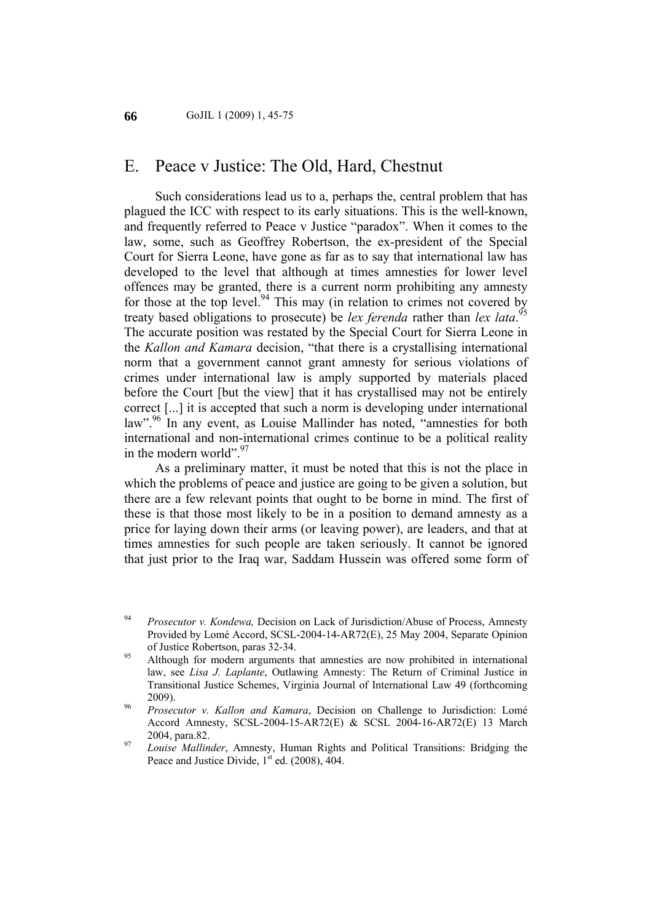## E. Peace v Justice: The Old, Hard, Chestnut

Such considerations lead us to a, perhaps the, central problem that has plagued the ICC with respect to its early situations. This is the well-known, and frequently referred to Peace v Justice "paradox". When it comes to the law, some, such as Geoffrey Robertson, the ex-president of the Special Court for Sierra Leone, have gone as far as to say that international law has developed to the level that although at times amnesties for lower level offences may be granted, there is a current norm prohibiting any amnesty for those at the top level.<sup>94</sup> This may (in relation to crimes not covered by treaty based obligations to prosecute) be *lex ferenda* rather than *lex lata*. 95 The accurate position was restated by the Special Court for Sierra Leone in the *Kallon and Kamara* decision, "that there is a crystallising international norm that a government cannot grant amnesty for serious violations of crimes under international law is amply supported by materials placed before the Court [but the view] that it has crystallised may not be entirely correct [...] it is accepted that such a norm is developing under international law".<sup>96</sup> In any event, as Louise Mallinder has noted, "amnesties for both international and non-international crimes continue to be a political reality in the modern world". $97$ 

As a preliminary matter, it must be noted that this is not the place in which the problems of peace and justice are going to be given a solution, but there are a few relevant points that ought to be borne in mind. The first of these is that those most likely to be in a position to demand amnesty as a price for laying down their arms (or leaving power), are leaders, and that at times amnesties for such people are taken seriously. It cannot be ignored that just prior to the Iraq war, Saddam Hussein was offered some form of

<sup>94</sup> *Prosecutor v. Kondewa,* Decision on Lack of Jurisdiction/Abuse of Process, Amnesty Provided by Lomé Accord, SCSL-2004-14-AR72(E), 25 May 2004, Separate Opinion of Justice Robertson, paras 32-34.<br><sup>95</sup> Although for modern arguments that amnesties are now prohibited in international

law, see *Lisa J. Laplante*, Outlawing Amnesty: The Return of Criminal Justice in Transitional Justice Schemes, Virginia Journal of International Law 49 (forthcoming 2009). 96 *Prosecutor v. Kallon and Kamara*, Decision on Challenge to Jurisdiction: Lomé

Accord Amnesty, SCSL-2004-15-AR72(E) & SCSL 2004-16-AR72(E) 13 March

<sup>2004,</sup> para.82. 97 *Louise Mallinder*, Amnesty, Human Rights and Political Transitions: Bridging the Peace and Justice Divide,  $1<sup>st</sup>$  ed. (2008), 404.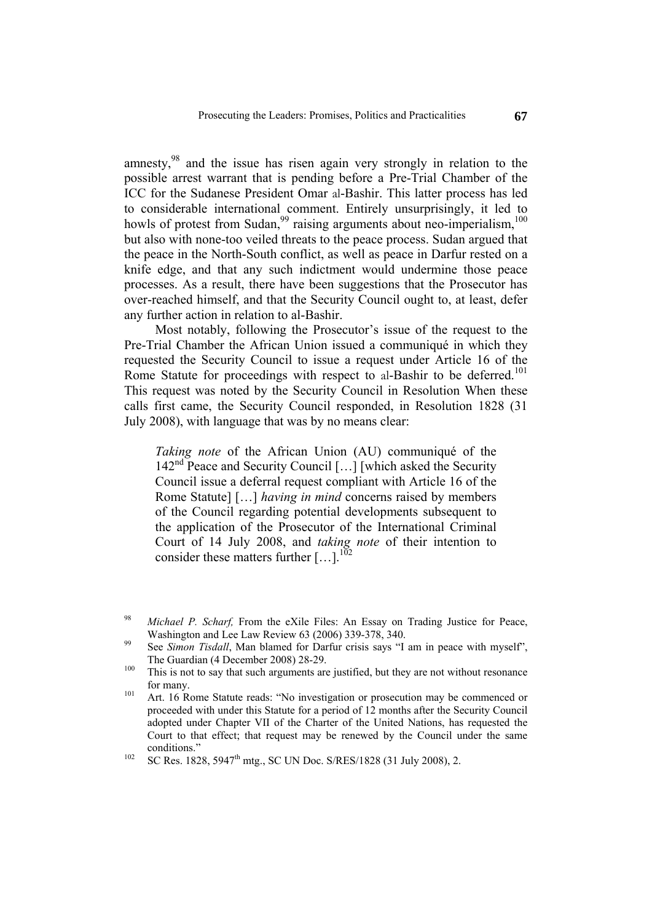amnesty,<sup>98</sup> and the issue has risen again very strongly in relation to the possible arrest warrant that is pending before a Pre-Trial Chamber of the ICC for the Sudanese President Omar al-Bashir. This latter process has led to considerable international comment. Entirely unsurprisingly, it led to howls of protest from Sudan,  $99$  raising arguments about neo-imperialism,  $100$ but also with none-too veiled threats to the peace process. Sudan argued that the peace in the North-South conflict, as well as peace in Darfur rested on a knife edge, and that any such indictment would undermine those peace processes. As a result, there have been suggestions that the Prosecutor has over-reached himself, and that the Security Council ought to, at least, defer any further action in relation to al-Bashir.

Most notably, following the Prosecutor's issue of the request to the Pre-Trial Chamber the African Union issued a communiqué in which they requested the Security Council to issue a request under Article 16 of the Rome Statute for proceedings with respect to al-Bashir to be deferred.<sup>101</sup> This request was noted by the Security Council in Resolution When these calls first came, the Security Council responded, in Resolution 1828 (31 July 2008), with language that was by no means clear:

*Taking note* of the African Union (AU) communiqué of the  $142<sup>nd</sup>$  Peace and Security Council [...] [which asked the Security Council issue a deferral request compliant with Article 16 of the Rome Statute] […] *having in mind* concerns raised by members of the Council regarding potential developments subsequent to the application of the Prosecutor of the International Criminal Court of 14 July 2008, and *taking note* of their intention to consider these matters further  $[...]$ <sup>102</sup>

<sup>98</sup> *Michael P. Scharf,* From the eXile Files: An Essay on Trading Justice for Peace, Washington and Lee Law Review 63 (2006) 339-378, 340.<br><sup>99</sup> See *Simon Tisdall*, Man blamed for Darfur crisis says "I am in peace with myself",

The Guardian (4 December 2008) 28-29.<br><sup>100</sup> This is not to say that such arguments are justified, but they are not without resonance

for many.<br><sup>101</sup> Art. 16 Rome Statute reads: "No investigation or prosecution may be commenced or

proceeded with under this Statute for a period of 12 months after the Security Council adopted under Chapter VII of the Charter of the United Nations, has requested the Court to that effect; that request may be renewed by the Council under the same

<sup>&</sup>lt;sup>102</sup> SC Res. 1828, 5947<sup>th</sup> mtg., SC UN Doc. S/RES/1828 (31 July 2008), 2.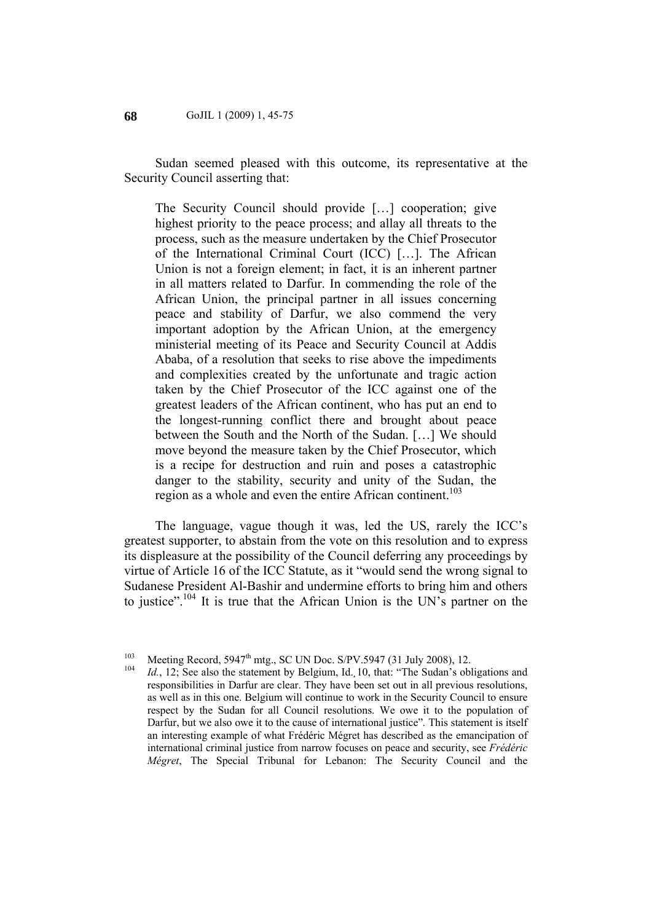Sudan seemed pleased with this outcome, its representative at the Security Council asserting that:

The Security Council should provide […] cooperation; give highest priority to the peace process; and allay all threats to the process, such as the measure undertaken by the Chief Prosecutor of the International Criminal Court (ICC) […]. The African Union is not a foreign element; in fact, it is an inherent partner in all matters related to Darfur. In commending the role of the African Union, the principal partner in all issues concerning peace and stability of Darfur, we also commend the very important adoption by the African Union, at the emergency ministerial meeting of its Peace and Security Council at Addis Ababa, of a resolution that seeks to rise above the impediments and complexities created by the unfortunate and tragic action taken by the Chief Prosecutor of the ICC against one of the greatest leaders of the African continent, who has put an end to the longest-running conflict there and brought about peace between the South and the North of the Sudan. […] We should move beyond the measure taken by the Chief Prosecutor, which is a recipe for destruction and ruin and poses a catastrophic danger to the stability, security and unity of the Sudan, the region as a whole and even the entire African continent.<sup>103</sup>

The language, vague though it was, led the US, rarely the ICC's greatest supporter, to abstain from the vote on this resolution and to express its displeasure at the possibility of the Council deferring any proceedings by virtue of Article 16 of the ICC Statute, as it "would send the wrong signal to Sudanese President Al-Bashir and undermine efforts to bring him and others to justice".<sup>104</sup> It is true that the African Union is the UN's partner on the

<sup>103</sup> Meeting Record, 5947<sup>th</sup> mtg., SC UN Doc. S/PV.5947 (31 July 2008), 12.<br><sup>104</sup> *Id.*, 12; See also the statement by Belgium, Id., 10, that: "The Sudan's obligations and responsibilities in Darfur are clear. They have been set out in all previous resolutions, as well as in this one. Belgium will continue to work in the Security Council to ensure respect by the Sudan for all Council resolutions. We owe it to the population of Darfur, but we also owe it to the cause of international justice"*.* This statement is itself an interesting example of what Frédéric Mégret has described as the emancipation of international criminal justice from narrow focuses on peace and security, see *Frédéric Mégret*, The Special Tribunal for Lebanon: The Security Council and the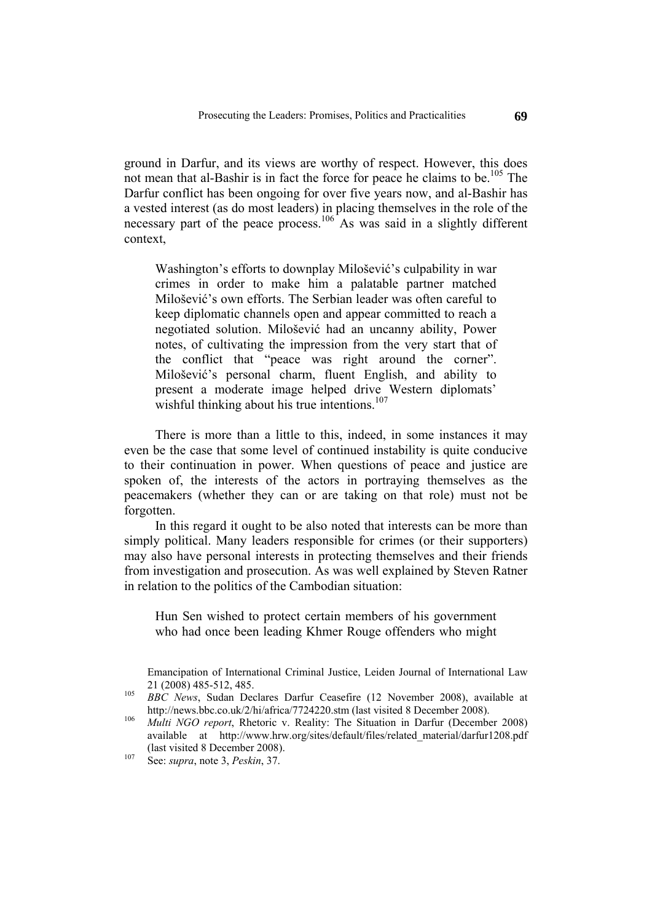ground in Darfur, and its views are worthy of respect. However, this does not mean that al-Bashir is in fact the force for peace he claims to be.<sup>105</sup> The Darfur conflict has been ongoing for over five years now, and al-Bashir has a vested interest (as do most leaders) in placing themselves in the role of the necessary part of the peace process.<sup>106</sup> As was said in a slightly different context,

Washington's efforts to downplay Milošević's culpability in war crimes in order to make him a palatable partner matched Milošević's own efforts. The Serbian leader was often careful to keep diplomatic channels open and appear committed to reach a negotiated solution. Milošević had an uncanny ability, Power notes, of cultivating the impression from the very start that of the conflict that "peace was right around the corner". Milošević's personal charm, fluent English, and ability to present a moderate image helped drive Western diplomats' wishful thinking about his true intentions.<sup>107</sup>

There is more than a little to this, indeed, in some instances it may even be the case that some level of continued instability is quite conducive to their continuation in power. When questions of peace and justice are spoken of, the interests of the actors in portraying themselves as the peacemakers (whether they can or are taking on that role) must not be forgotten.

In this regard it ought to be also noted that interests can be more than simply political. Many leaders responsible for crimes (or their supporters) may also have personal interests in protecting themselves and their friends from investigation and prosecution. As was well explained by Steven Ratner in relation to the politics of the Cambodian situation:

Hun Sen wished to protect certain members of his government who had once been leading Khmer Rouge offenders who might

Emancipation of International Criminal Justice, Leiden Journal of International Law 21 (2008) 485-512, 485. <sup>105</sup>*BBC News*, Sudan Declares Darfur Ceasefire (12 November 2008), available at

http://news.bbc.co.uk/2/hi/africa/7724220.stm (last visited 8 December 2008).<br>*Multi NGO report*, Rhetoric v. Reality: The Situation in Darfur (December 2008)

available at http://www.hrw.org/sites/default/files/related\_material/darfur1208.pdf (last visited 8 December 2008). 107 See: *supra*, note 3, *Peskin*, 37.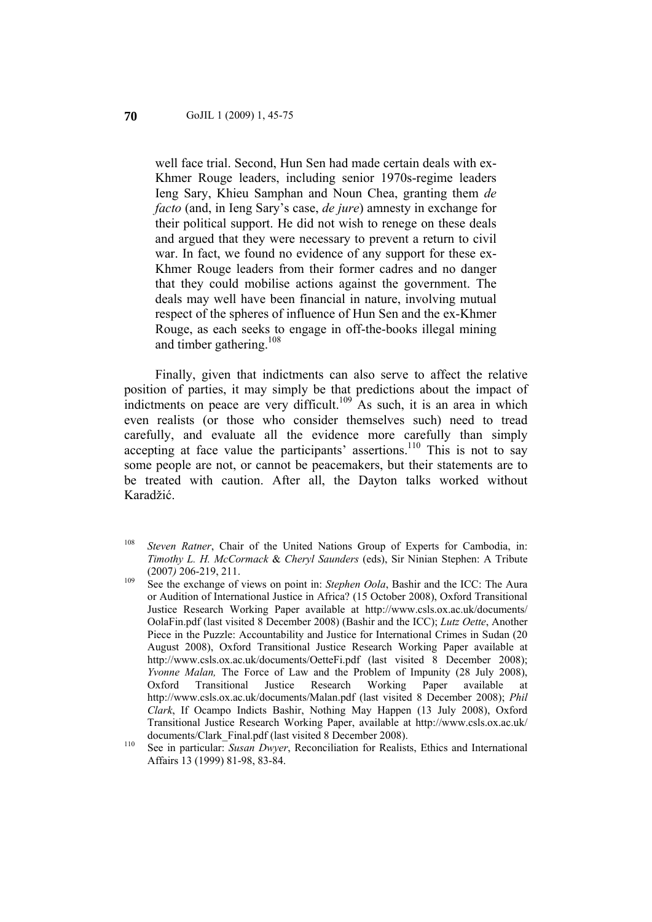#### GoJIL 1 (2009) 1, 45-75 **70**

well face trial. Second, Hun Sen had made certain deals with ex-Khmer Rouge leaders, including senior 1970s-regime leaders Ieng Sary, Khieu Samphan and Noun Chea, granting them *de facto* (and, in Ieng Sary's case, *de jure*) amnesty in exchange for their political support. He did not wish to renege on these deals and argued that they were necessary to prevent a return to civil war. In fact, we found no evidence of any support for these ex-Khmer Rouge leaders from their former cadres and no danger that they could mobilise actions against the government. The deals may well have been financial in nature, involving mutual respect of the spheres of influence of Hun Sen and the ex-Khmer Rouge, as each seeks to engage in off-the-books illegal mining and timber gathering.108

Finally, given that indictments can also serve to affect the relative position of parties, it may simply be that predictions about the impact of indictments on peace are very difficult.<sup>109</sup> As such, it is an area in which even realists (or those who consider themselves such) need to tread carefully, and evaluate all the evidence more carefully than simply accepting at face value the participants' assertions.<sup>110</sup> This is not to say some people are not, or cannot be peacemakers, but their statements are to be treated with caution. After all, the Dayton talks worked without Karadžić.

<sup>108</sup> *Steven Ratner*, Chair of the United Nations Group of Experts for Cambodia, in: *Timothy L. H. McCormack* & *Cheryl Saunders* (eds), Sir Ninian Stephen: A Tribute (2007) 206-219, 211.<br><sup>109</sup> See the exchange of views on point in: *Stephen Oola*, Bashir and the ICC: The Aura

or Audition of International Justice in Africa? (15 October 2008), Oxford Transitional Justice Research Working Paper available at http://www.csls.ox.ac.uk/documents/ OolaFin.pdf (last visited 8 December 2008) (Bashir and the ICC); *Lutz Oette*, Another Piece in the Puzzle: Accountability and Justice for International Crimes in Sudan (20 August 2008), Oxford Transitional Justice Research Working Paper available at http://www.csls.ox.ac.uk/documents/OetteFi.pdf (last visited 8 December 2008); *Yvonne Malan,* The Force of Law and the Problem of Impunity (28 July 2008), Oxford Transitional Justice Research Working Paper available at http://www.csls.ox.ac.uk/documents/Malan.pdf (last visited 8 December 2008); *Phil Clark*, If Ocampo Indicts Bashir, Nothing May Happen (13 July 2008), Oxford Transitional Justice Research Working Paper, available at http://www.csls.ox.ac.uk/ documents/Clark\_Final.pdf (last visited 8 December 2008).<br><sup>110</sup> See in particular: *Susan Dwyer*, Reconciliation for Realists, Ethics and International

Affairs 13 (1999) 81-98, 83-84.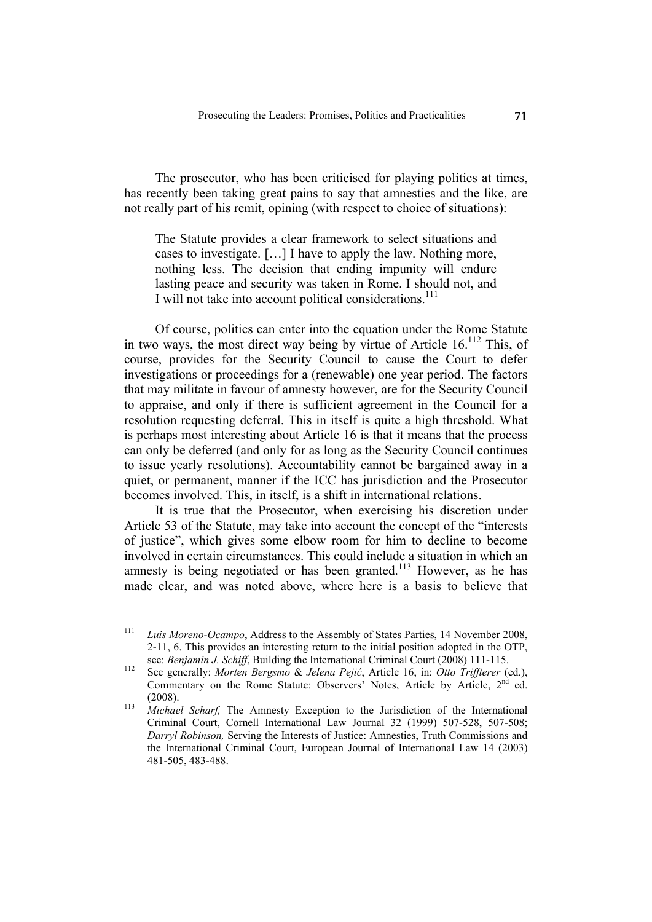The prosecutor, who has been criticised for playing politics at times, has recently been taking great pains to say that amnesties and the like, are not really part of his remit, opining (with respect to choice of situations):

The Statute provides a clear framework to select situations and cases to investigate. […] I have to apply the law. Nothing more, nothing less. The decision that ending impunity will endure lasting peace and security was taken in Rome. I should not, and I will not take into account political considerations.<sup>111</sup>

Of course, politics can enter into the equation under the Rome Statute in two ways, the most direct way being by virtue of Article  $16$ <sup>112</sup> This, of course, provides for the Security Council to cause the Court to defer investigations or proceedings for a (renewable) one year period. The factors that may militate in favour of amnesty however, are for the Security Council to appraise, and only if there is sufficient agreement in the Council for a resolution requesting deferral. This in itself is quite a high threshold. What is perhaps most interesting about Article 16 is that it means that the process can only be deferred (and only for as long as the Security Council continues to issue yearly resolutions). Accountability cannot be bargained away in a quiet, or permanent, manner if the ICC has jurisdiction and the Prosecutor becomes involved. This, in itself, is a shift in international relations.

It is true that the Prosecutor, when exercising his discretion under Article 53 of the Statute, may take into account the concept of the "interests of justice", which gives some elbow room for him to decline to become involved in certain circumstances. This could include a situation in which an amnesty is being negotiated or has been granted.<sup>113</sup> However, as he has made clear, and was noted above, where here is a basis to believe that

<sup>111</sup> *Luis Moreno-Ocampo*, Address to the Assembly of States Parties, 14 November 2008, 2-11, 6. This provides an interesting return to the initial position adopted in the OTP,

see: *Benjamin J. Schiff*, Building the International Criminal Court (2008) 111-115. 112 See generally: *Morten Bergsmo* & *Jelena Pejić*, Article 16, in: *Otto Triffterer* (ed.), Commentary on the Rome Statute: Observers' Notes, Article by Article,  $2<sup>nd</sup>$  ed. (2008). <sup>113</sup>*Michael Scharf,* The Amnesty Exception to the Jurisdiction of the International

Criminal Court, Cornell International Law Journal 32 (1999) 507-528, 507-508; *Darryl Robinson,* Serving the Interests of Justice: Amnesties, Truth Commissions and the International Criminal Court, European Journal of International Law 14 (2003) 481-505, 483-488.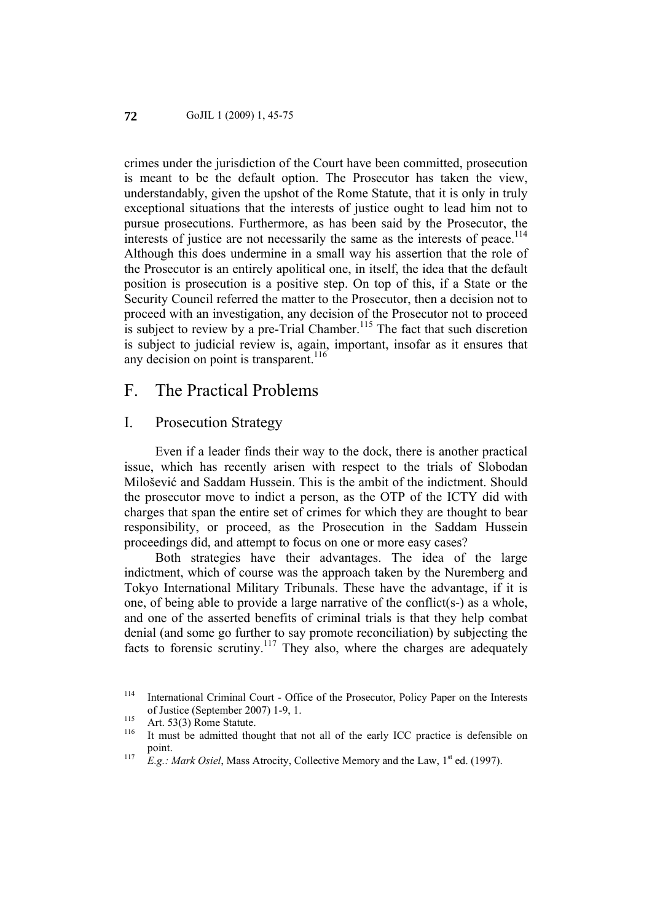crimes under the jurisdiction of the Court have been committed, prosecution is meant to be the default option. The Prosecutor has taken the view, understandably, given the upshot of the Rome Statute, that it is only in truly exceptional situations that the interests of justice ought to lead him not to pursue prosecutions. Furthermore, as has been said by the Prosecutor, the interests of justice are not necessarily the same as the interests of peace.<sup>114</sup> Although this does undermine in a small way his assertion that the role of the Prosecutor is an entirely apolitical one, in itself, the idea that the default position is prosecution is a positive step. On top of this, if a State or the Security Council referred the matter to the Prosecutor, then a decision not to proceed with an investigation, any decision of the Prosecutor not to proceed is subject to review by a pre-Trial Chamber.<sup>115</sup> The fact that such discretion is subject to judicial review is, again, important, insofar as it ensures that any decision on point is transparent.<sup>116</sup>

## F. The Practical Problems

#### I. Prosecution Strategy

Even if a leader finds their way to the dock, there is another practical issue, which has recently arisen with respect to the trials of Slobodan Milošević and Saddam Hussein. This is the ambit of the indictment. Should the prosecutor move to indict a person, as the OTP of the ICTY did with charges that span the entire set of crimes for which they are thought to bear responsibility, or proceed, as the Prosecution in the Saddam Hussein proceedings did, and attempt to focus on one or more easy cases?

Both strategies have their advantages. The idea of the large indictment, which of course was the approach taken by the Nuremberg and Tokyo International Military Tribunals. These have the advantage, if it is one, of being able to provide a large narrative of the conflict(s-) as a whole, and one of the asserted benefits of criminal trials is that they help combat denial (and some go further to say promote reconciliation) by subjecting the facts to forensic scrutiny.<sup>117</sup> They also, where the charges are adequately

<sup>114</sup> International Criminal Court - Office of the Prosecutor, Policy Paper on the Interests of Justice (September 2007) 1-9, 1.<br>
<sup>115</sup> Art. 53(3) Rome Statute.<br>
<sup>116</sup> It must be admitted thought that not all of the early ICC practice is defensible on

point.<br><sup>117</sup> *E.g.: Mark Osiel*, Mass Atrocity, Collective Memory and the Law, 1<sup>st</sup> ed. (1997).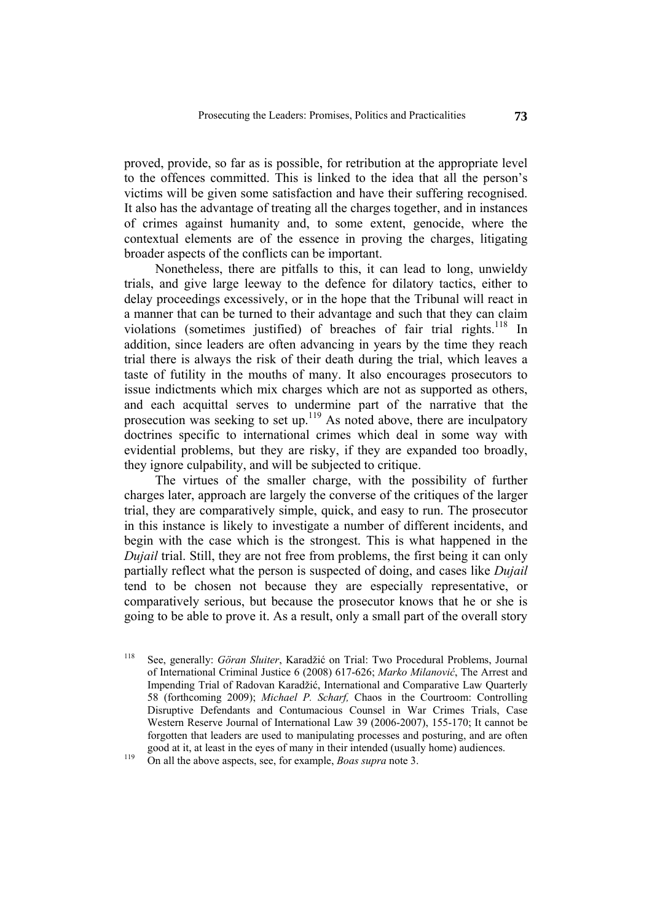proved, provide, so far as is possible, for retribution at the appropriate level to the offences committed. This is linked to the idea that all the person's victims will be given some satisfaction and have their suffering recognised. It also has the advantage of treating all the charges together, and in instances of crimes against humanity and, to some extent, genocide, where the contextual elements are of the essence in proving the charges, litigating broader aspects of the conflicts can be important.

Nonetheless, there are pitfalls to this, it can lead to long, unwieldy trials, and give large leeway to the defence for dilatory tactics, either to delay proceedings excessively, or in the hope that the Tribunal will react in a manner that can be turned to their advantage and such that they can claim violations (sometimes justified) of breaches of fair trial rights.<sup>118</sup> In addition, since leaders are often advancing in years by the time they reach trial there is always the risk of their death during the trial, which leaves a taste of futility in the mouths of many. It also encourages prosecutors to issue indictments which mix charges which are not as supported as others, and each acquittal serves to undermine part of the narrative that the prosecution was seeking to set up.119 As noted above, there are inculpatory doctrines specific to international crimes which deal in some way with evidential problems, but they are risky, if they are expanded too broadly, they ignore culpability, and will be subjected to critique.

The virtues of the smaller charge, with the possibility of further charges later, approach are largely the converse of the critiques of the larger trial, they are comparatively simple, quick, and easy to run. The prosecutor in this instance is likely to investigate a number of different incidents, and begin with the case which is the strongest. This is what happened in the *Dujail* trial. Still, they are not free from problems, the first being it can only partially reflect what the person is suspected of doing, and cases like *Dujail* tend to be chosen not because they are especially representative, or comparatively serious, but because the prosecutor knows that he or she is going to be able to prove it. As a result, only a small part of the overall story

<sup>118</sup> See, generally: *Göran Sluiter*, Karadžić on Trial: Two Procedural Problems, Journal of International Criminal Justice 6 (2008) 617-626; *Marko Milanović*, The Arrest and Impending Trial of Radovan Karadžić, International and Comparative Law Quarterly 58 (forthcoming 2009); *Michael P. Scharf,* Chaos in the Courtroom: Controlling Disruptive Defendants and Contumacious Counsel in War Crimes Trials, Case Western Reserve Journal of International Law 39 (2006-2007), 155-170; It cannot be forgotten that leaders are used to manipulating processes and posturing, and are often good at it, at least in the eyes of many in their intended (usually home) audiences. 119 On all the above aspects, see, for example, *Boas supra* note 3.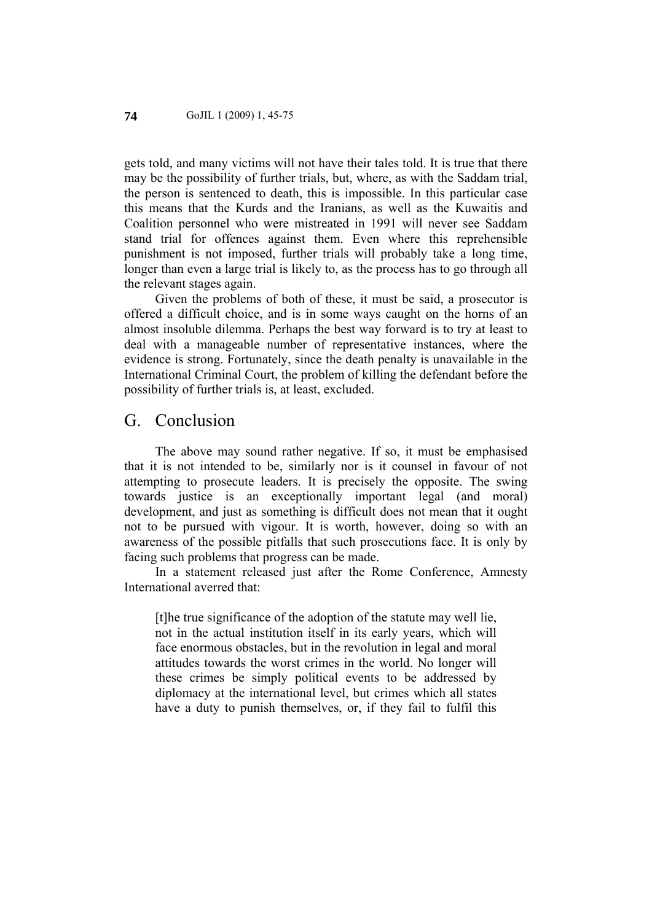gets told, and many victims will not have their tales told. It is true that there may be the possibility of further trials, but, where, as with the Saddam trial, the person is sentenced to death, this is impossible. In this particular case this means that the Kurds and the Iranians, as well as the Kuwaitis and Coalition personnel who were mistreated in 1991 will never see Saddam stand trial for offences against them. Even where this reprehensible punishment is not imposed, further trials will probably take a long time, longer than even a large trial is likely to, as the process has to go through all the relevant stages again.

Given the problems of both of these, it must be said, a prosecutor is offered a difficult choice, and is in some ways caught on the horns of an almost insoluble dilemma. Perhaps the best way forward is to try at least to deal with a manageable number of representative instances, where the evidence is strong. Fortunately, since the death penalty is unavailable in the International Criminal Court, the problem of killing the defendant before the possibility of further trials is, at least, excluded.

### G. Conclusion

The above may sound rather negative. If so, it must be emphasised that it is not intended to be, similarly nor is it counsel in favour of not attempting to prosecute leaders. It is precisely the opposite. The swing towards justice is an exceptionally important legal (and moral) development, and just as something is difficult does not mean that it ought not to be pursued with vigour. It is worth, however, doing so with an awareness of the possible pitfalls that such prosecutions face. It is only by facing such problems that progress can be made.

In a statement released just after the Rome Conference, Amnesty International averred that:

[t]he true significance of the adoption of the statute may well lie, not in the actual institution itself in its early years, which will face enormous obstacles, but in the revolution in legal and moral attitudes towards the worst crimes in the world. No longer will these crimes be simply political events to be addressed by diplomacy at the international level, but crimes which all states have a duty to punish themselves, or, if they fail to fulfil this